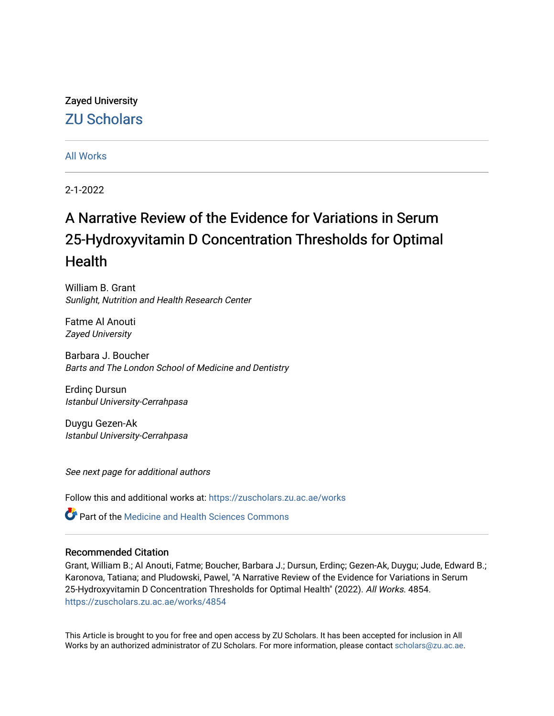# Zayed University [ZU Scholars](https://zuscholars.zu.ac.ae/)

## [All Works](https://zuscholars.zu.ac.ae/works)

2-1-2022

# A Narrative Review of the Evidence for Variations in Serum 25-Hydroxyvitamin D Concentration Thresholds for Optimal **Health**

William B. Grant Sunlight, Nutrition and Health Research Center

Fatme Al Anouti Zayed University

Barbara J. Boucher Barts and The London School of Medicine and Dentistry

Erdinç Dursun Istanbul University-Cerrahpasa

Duygu Gezen-Ak Istanbul University-Cerrahpasa

See next page for additional authors

Follow this and additional works at: [https://zuscholars.zu.ac.ae/works](https://zuscholars.zu.ac.ae/works?utm_source=zuscholars.zu.ac.ae%2Fworks%2F4854&utm_medium=PDF&utm_campaign=PDFCoverPages)

Part of the [Medicine and Health Sciences Commons](http://network.bepress.com/hgg/discipline/648?utm_source=zuscholars.zu.ac.ae%2Fworks%2F4854&utm_medium=PDF&utm_campaign=PDFCoverPages) 

### Recommended Citation

Grant, William B.; Al Anouti, Fatme; Boucher, Barbara J.; Dursun, Erdinç; Gezen-Ak, Duygu; Jude, Edward B.; Karonova, Tatiana; and Pludowski, Pawel, "A Narrative Review of the Evidence for Variations in Serum 25-Hydroxyvitamin D Concentration Thresholds for Optimal Health" (2022). All Works. 4854. [https://zuscholars.zu.ac.ae/works/4854](https://zuscholars.zu.ac.ae/works/4854?utm_source=zuscholars.zu.ac.ae%2Fworks%2F4854&utm_medium=PDF&utm_campaign=PDFCoverPages)

This Article is brought to you for free and open access by ZU Scholars. It has been accepted for inclusion in All Works by an authorized administrator of ZU Scholars. For more information, please contact [scholars@zu.ac.ae](mailto:scholars@zu.ac.ae).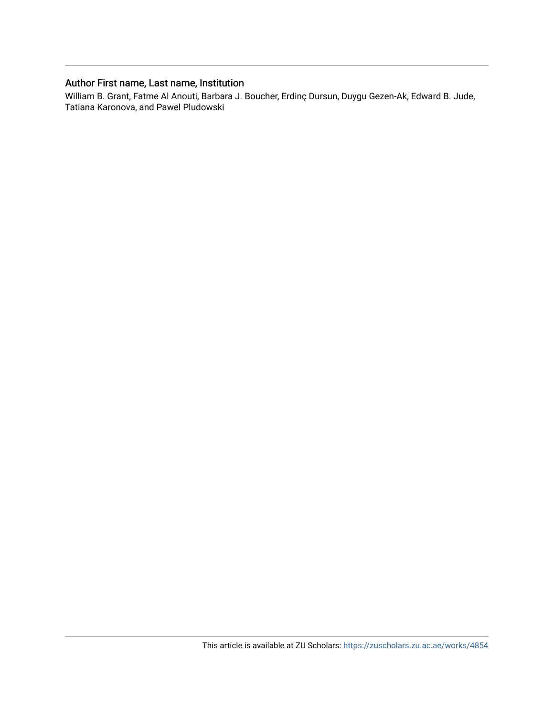## Author First name, Last name, Institution

William B. Grant, Fatme Al Anouti, Barbara J. Boucher, Erdinç Dursun, Duygu Gezen-Ak, Edward B. Jude, Tatiana Karonova, and Pawel Pludowski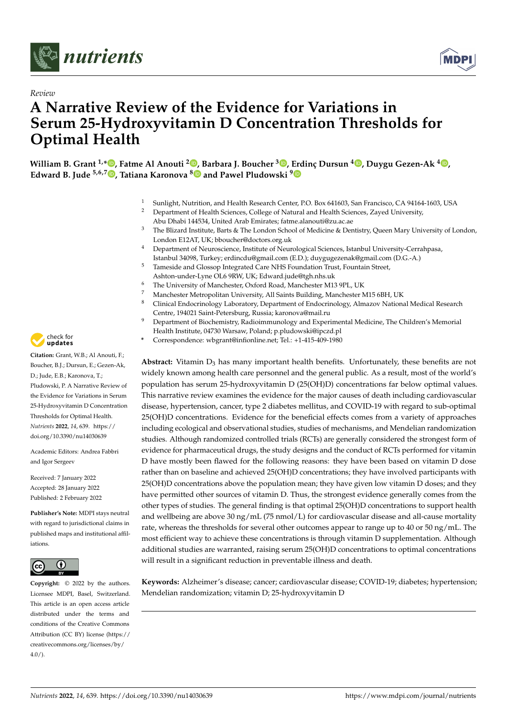



## *Review* **A Narrative Review of the Evidence for Variations in Serum 25-Hydroxyvitamin D Concentration Thresholds for Optimal Health**

**William B. Grant 1,[\\*](https://orcid.org/0000-0002-1439-3285) , Fatme Al Anouti <sup>2</sup> [,](https://orcid.org/0000-0002-1993-6656) Barbara J. Boucher <sup>3</sup> [,](https://orcid.org/0000-0003-1206-7555) [Erd](https://orcid.org/0000-0001-8475-7112)inç Dursun <sup>4</sup> [,](https://orcid.org/0000-0003-3701-6674) Duygu Gezen-Ak <sup>4</sup> [,](https://orcid.org/0000-0001-7611-2111) Edward B. Jude 5,6,[7](https://orcid.org/0000-0002-3186-4122) , Tatiana Karonova [8](https://orcid.org/0000-0002-1547-0123) and Pawel Pludowski <sup>9</sup>**

- 1 Sunlight, Nutrition, and Health Research Center, P.O. Box 641603, San Francisco, CA 94164-1603, USA<br>2 Department of Health Sciences, College of Natural and Health Sciences, Zaved University
- <sup>2</sup> Department of Health Sciences, College of Natural and Health Sciences, Zayed University, Abu Dhabi 144534, United Arab Emirates; fatme.alanouti@zu.ac.ae
- <sup>3</sup> The Blizard Institute, Barts & The London School of Medicine & Dentistry, Queen Mary University of London, London E12AT, UK; bboucher@doctors.org.uk
- <sup>4</sup> Department of Neuroscience, Institute of Neurological Sciences, Istanbul University-Cerrahpasa, Istanbul 34098, Turkey; erdincdu@gmail.com (E.D.); duygugezenak@gmail.com (D.G.-A.)
- <sup>5</sup> Tameside and Glossop Integrated Care NHS Foundation Trust, Fountain Street, Ashton-under-Lyne OL6 9RW, UK; Edward.jude@tgh.nhs.uk
- The University of Manchester, Oxford Road, Manchester M13 9PL, UK
- 
- 7 Manchester Metropolitan University, All Saints Building, Manchester M15 6BH, UK <sup>8</sup> Clinical Endocrinology Laboratory, Department of Endocrinology, Almazov National Medical Research Centre, 194021 Saint-Petersburg, Russia; karonova@mail.ru
- <sup>9</sup> Department of Biochemistry, Radioimmunology and Experimental Medicine, The Children's Memorial Health Institute, 04730 Warsaw, Poland; p.pludowski@ipczd.pl
- **\*** Correspondence: wbgrant@infionline.net; Tel.: +1-415-409-1980

**Abstract:** Vitamin  $D_3$  has many important health benefits. Unfortunately, these benefits are not widely known among health care personnel and the general public. As a result, most of the world's population has serum 25-hydroxyvitamin D (25(OH)D) concentrations far below optimal values. This narrative review examines the evidence for the major causes of death including cardiovascular disease, hypertension, cancer, type 2 diabetes mellitus, and COVID-19 with regard to sub-optimal 25(OH)D concentrations. Evidence for the beneficial effects comes from a variety of approaches including ecological and observational studies, studies of mechanisms, and Mendelian randomization studies. Although randomized controlled trials (RCTs) are generally considered the strongest form of evidence for pharmaceutical drugs, the study designs and the conduct of RCTs performed for vitamin D have mostly been flawed for the following reasons: they have been based on vitamin D dose rather than on baseline and achieved 25(OH)D concentrations; they have involved participants with 25(OH)D concentrations above the population mean; they have given low vitamin D doses; and they have permitted other sources of vitamin D. Thus, the strongest evidence generally comes from the other types of studies. The general finding is that optimal 25(OH)D concentrations to support health and wellbeing are above 30 ng/mL (75 nmol/L) for cardiovascular disease and all-cause mortality rate, whereas the thresholds for several other outcomes appear to range up to 40 or 50 ng/mL. The most efficient way to achieve these concentrations is through vitamin D supplementation. Although additional studies are warranted, raising serum 25(OH)D concentrations to optimal concentrations will result in a significant reduction in preventable illness and death.

**Keywords:** Alzheimer's disease; cancer; cardiovascular disease; COVID-19; diabetes; hypertension; Mendelian randomization; vitamin D; 25-hydroxyvitamin D



**Citation:** Grant, W.B.; Al Anouti, F.; Boucher, B.J.; Dursun, E.; Gezen-Ak, D.; Jude, E.B.; Karonova, T.; Pludowski, P. A Narrative Review of the Evidence for Variations in Serum 25-Hydroxyvitamin D Concentration Thresholds for Optimal Health. *Nutrients* **2022**, *14*, 639. [https://](https://doi.org/10.3390/nu14030639) [doi.org/10.3390/nu14030639](https://doi.org/10.3390/nu14030639)

Academic Editors: Andrea Fabbri and Igor Sergeev

Received: 7 January 2022 Accepted: 28 January 2022 Published: 2 February 2022

**Publisher's Note:** MDPI stays neutral with regard to jurisdictional claims in published maps and institutional affiliations.



**Copyright:** © 2022 by the authors. Licensee MDPI, Basel, Switzerland. This article is an open access article distributed under the terms and conditions of the Creative Commons Attribution (CC BY) license [\(https://](https://creativecommons.org/licenses/by/4.0/) [creativecommons.org/licenses/by/](https://creativecommons.org/licenses/by/4.0/)  $4.0/$ ).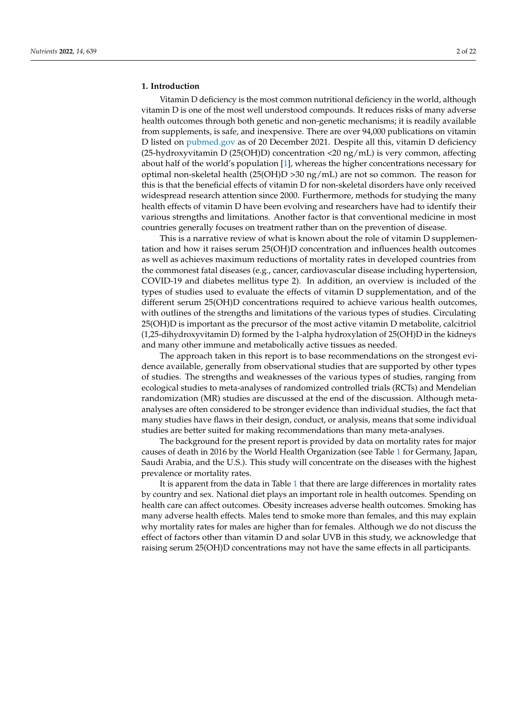#### **1. Introduction**

Vitamin D deficiency is the most common nutritional deficiency in the world, although vitamin D is one of the most well understood compounds. It reduces risks of many adverse health outcomes through both genetic and non-genetic mechanisms; it is readily available from supplements, is safe, and inexpensive. There are over 94,000 publications on vitamin D listed on <pubmed.gov> as of 20 December 2021. Despite all this, vitamin D deficiency (25-hydroxyvitamin D (25(OH)D) concentration <20 ng/mL) is very common, affecting about half of the world's population [\[1\]](#page-17-0), whereas the higher concentrations necessary for optimal non-skeletal health (25(OH)D >30 ng/mL) are not so common. The reason for this is that the beneficial effects of vitamin D for non-skeletal disorders have only received widespread research attention since 2000. Furthermore, methods for studying the many health effects of vitamin D have been evolving and researchers have had to identify their various strengths and limitations. Another factor is that conventional medicine in most countries generally focuses on treatment rather than on the prevention of disease.

This is a narrative review of what is known about the role of vitamin D supplementation and how it raises serum 25(OH)D concentration and influences health outcomes as well as achieves maximum reductions of mortality rates in developed countries from the commonest fatal diseases (e.g., cancer, cardiovascular disease including hypertension, COVID-19 and diabetes mellitus type 2). In addition, an overview is included of the types of studies used to evaluate the effects of vitamin D supplementation, and of the different serum 25(OH)D concentrations required to achieve various health outcomes, with outlines of the strengths and limitations of the various types of studies. Circulating 25(OH)D is important as the precursor of the most active vitamin D metabolite, calcitriol (1,25-dihydroxyvitamin D) formed by the 1-alpha hydroxylation of 25(OH)D in the kidneys and many other immune and metabolically active tissues as needed.

The approach taken in this report is to base recommendations on the strongest evidence available, generally from observational studies that are supported by other types of studies. The strengths and weaknesses of the various types of studies, ranging from ecological studies to meta-analyses of randomized controlled trials (RCTs) and Mendelian randomization (MR) studies are discussed at the end of the discussion. Although metaanalyses are often considered to be stronger evidence than individual studies, the fact that many studies have flaws in their design, conduct, or analysis, means that some individual studies are better suited for making recommendations than many meta-analyses.

The background for the present report is provided by data on mortality rates for major causes of death in 2016 by the World Health Organization (see Table [1](#page-4-0) for Germany, Japan, Saudi Arabia, and the U.S.). This study will concentrate on the diseases with the highest prevalence or mortality rates.

It is apparent from the data in Table [1](#page-4-0) that there are large differences in mortality rates by country and sex. National diet plays an important role in health outcomes. Spending on health care can affect outcomes. Obesity increases adverse health outcomes. Smoking has many adverse health effects. Males tend to smoke more than females, and this may explain why mortality rates for males are higher than for females. Although we do not discuss the effect of factors other than vitamin D and solar UVB in this study, we acknowledge that raising serum 25(OH)D concentrations may not have the same effects in all participants.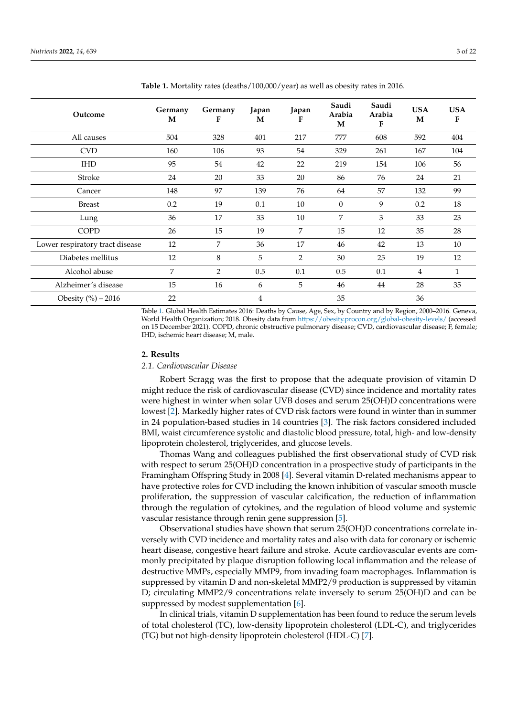| Outcome                         | Germany<br>M | Germany<br>F   | Japan<br>M     | Japan<br>F | Saudi<br>Arabia<br>M | Saudi<br>Arabia<br>F | <b>USA</b><br>M | <b>USA</b><br>F |
|---------------------------------|--------------|----------------|----------------|------------|----------------------|----------------------|-----------------|-----------------|
| All causes                      | 504          | 328            | 401            | 217        | 777                  | 608                  | 592             | 404             |
| <b>CVD</b>                      | 160          | 106            | 93             | 54         | 329                  | 261                  | 167             | 104             |
| <b>IHD</b>                      | 95           | 54             | 42             | 22         | 219                  | 154                  | 106             | 56              |
| Stroke                          | 24           | 20             | 33             | 20         | 86                   | 76                   | 24              | 21              |
| Cancer                          | 148          | 97             | 139            | 76         | 64                   | 57                   | 132             | 99              |
| <b>Breast</b>                   | 0.2          | 19             | 0.1            | 10         | $\overline{0}$       | 9                    | 0.2             | 18              |
| Lung                            | 36           | 17             | 33             | 10         | 7                    | 3                    | 33              | 23              |
| <b>COPD</b>                     | 26           | 15             | 19             | 7          | 15                   | 12                   | 35              | 28              |
| Lower respiratory tract disease | 12           | 7              | 36             | 17         | 46                   | 42                   | 13              | 10              |
| Diabetes mellitus               | 12           | 8              | 5              | 2          | 30                   | 25                   | 19              | 12              |
| Alcohol abuse                   | 7            | $\overline{2}$ | 0.5            | 0.1        | 0.5                  | 0.1                  | $\overline{4}$  | $\mathbf{1}$    |
| Alzheimer's disease             | 15           | 16             | 6              | 5          | 46                   | 44                   | 28              | 35              |
| Obesity $(\%)-2016$             | 22           |                | $\overline{4}$ |            | 35                   |                      | 36              |                 |

<span id="page-4-0"></span>**Table 1.** Mortality rates (deaths/100,000/year) as well as obesity rates in 2016.

Table [1.](#page-4-0) Global Health Estimates 2016: Deaths by Cause, Age, Sex, by Country and by Region, 2000–2016. Geneva, World Health Organization; 2018. Obesity data from <https://obesity.procon.org/global-obesity-levels/> (accessed on 15 December 2021). COPD, chronic obstructive pulmonary disease; CVD, cardiovascular disease; F, female; IHD, ischemic heart disease; M, male.

#### **2. Results**

#### *2.1. Cardiovascular Disease*

Robert Scragg was the first to propose that the adequate provision of vitamin D might reduce the risk of cardiovascular disease (CVD) since incidence and mortality rates were highest in winter when solar UVB doses and serum 25(OH)D concentrations were lowest [\[2\]](#page-17-1). Markedly higher rates of CVD risk factors were found in winter than in summer in 24 population-based studies in 14 countries [\[3\]](#page-17-2). The risk factors considered included BMI, waist circumference systolic and diastolic blood pressure, total, high- and low-density lipoprotein cholesterol, triglycerides, and glucose levels.

Thomas Wang and colleagues published the first observational study of CVD risk with respect to serum 25(OH)D concentration in a prospective study of participants in the Framingham Offspring Study in 2008 [\[4\]](#page-17-3). Several vitamin D-related mechanisms appear to have protective roles for CVD including the known inhibition of vascular smooth muscle proliferation, the suppression of vascular calcification, the reduction of inflammation through the regulation of cytokines, and the regulation of blood volume and systemic vascular resistance through renin gene suppression [\[5\]](#page-17-4).

Observational studies have shown that serum 25(OH)D concentrations correlate inversely with CVD incidence and mortality rates and also with data for coronary or ischemic heart disease, congestive heart failure and stroke. Acute cardiovascular events are commonly precipitated by plaque disruption following local inflammation and the release of destructive MMPs, especially MMP9, from invading foam macrophages. Inflammation is suppressed by vitamin D and non-skeletal MMP2/9 production is suppressed by vitamin D; circulating MMP2/9 concentrations relate inversely to serum 25(OH)D and can be suppressed by modest supplementation [\[6\]](#page-17-5).

In clinical trials, vitamin D supplementation has been found to reduce the serum levels of total cholesterol (TC), low-density lipoprotein cholesterol (LDL-C), and triglycerides (TG) but not high-density lipoprotein cholesterol (HDL-C) [\[7\]](#page-17-6).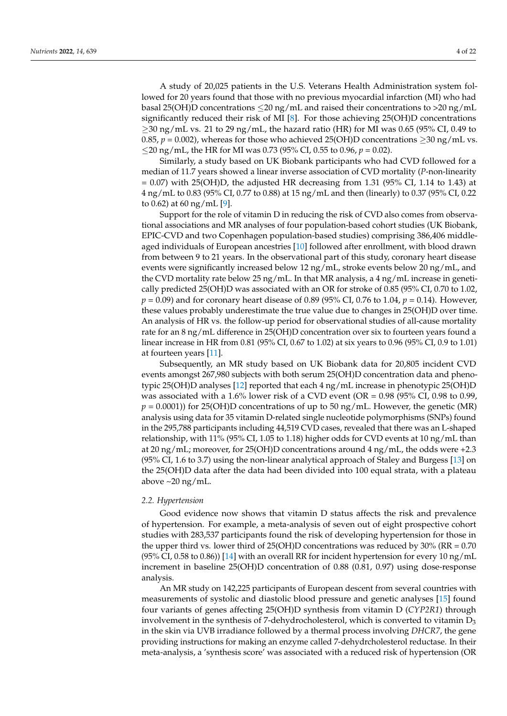A study of 20,025 patients in the U.S. Veterans Health Administration system followed for 20 years found that those with no previous myocardial infarction (MI) who had basal 25(OH)D concentrations  $\leq$  20 ng/mL and raised their concentrations to >20 ng/mL significantly reduced their risk of MI [\[8\]](#page-17-7). For those achieving 25(OH)D concentrations  $\geq$ 30 ng/mL vs. 21 to 29 ng/mL, the hazard ratio (HR) for MI was 0.65 (95% CI, 0.49 to 0.85,  $p = 0.002$ ), whereas for those who achieved 25(OH)D concentrations  $\geq$ 30 ng/mL vs. ≤20 ng/mL, the HR for MI was 0.73 (95% CI, 0.55 to 0.96, *p* = 0.02).

Similarly, a study based on UK Biobank participants who had CVD followed for a median of 11.7 years showed a linear inverse association of CVD mortality (*P*-non-linearity  $= 0.07$ ) with 25(OH)D, the adjusted HR decreasing from 1.31 (95% CI, 1.14 to 1.43) at 4 ng/mL to 0.83 (95% CI, 0.77 to 0.88) at 15 ng/mL and then (linearly) to 0.37 (95% CI, 0.22 to 0.62) at 60 ng/mL [\[9\]](#page-18-0).

Support for the role of vitamin D in reducing the risk of CVD also comes from observational associations and MR analyses of four population-based cohort studies (UK Biobank, EPIC-CVD and two Copenhagen population-based studies) comprising 386,406 middleaged individuals of European ancestries [\[10\]](#page-18-1) followed after enrollment, with blood drawn from between 9 to 21 years. In the observational part of this study, coronary heart disease events were significantly increased below 12 ng/mL, stroke events below 20 ng/mL, and the CVD mortality rate below 25  $\frac{ng}{m}$ . In that MR analysis, a 4  $\frac{ng}{m}$  increase in genetically predicted 25(OH)D was associated with an OR for stroke of 0.85 (95% CI, 0.70 to 1.02, *p* = 0.09) and for coronary heart disease of 0.89 (95% CI, 0.76 to 1.04, *p* = 0.14). However, these values probably underestimate the true value due to changes in 25(OH)D over time. An analysis of HR vs. the follow-up period for observational studies of all-cause mortality rate for an 8 ng/mL difference in 25(OH)D concentration over six to fourteen years found a linear increase in HR from 0.81 (95% CI, 0.67 to 1.02) at six years to 0.96 (95% CI, 0.9 to 1.01) at fourteen years [\[11\]](#page-18-2).

Subsequently, an MR study based on UK Biobank data for 20,805 incident CVD events amongst 267,980 subjects with both serum 25(OH)D concentration data and phenotypic 25(OH)D analyses [\[12\]](#page-18-3) reported that each 4 ng/mL increase in phenotypic 25(OH)D was associated with a 1.6% lower risk of a CVD event (OR = 0.98 (95% CI, 0.98 to 0.99,  $p = 0.0001$ )) for 25(OH)D concentrations of up to 50 ng/mL. However, the genetic (MR) analysis using data for 35 vitamin D-related single nucleotide polymorphisms (SNPs) found in the 295,788 participants including 44,519 CVD cases, revealed that there was an L-shaped relationship, with 11% (95% CI, 1.05 to 1.18) higher odds for CVD events at 10 ng/mL than at 20 ng/mL; moreover, for 25(OH)D concentrations around 4 ng/mL, the odds were +2.3 (95% CI, 1.6 to 3.7) using the non-linear analytical approach of Staley and Burgess [\[13\]](#page-18-4) on the 25(OH)D data after the data had been divided into 100 equal strata, with a plateau above  $\sim$ 20 ng/mL.

#### *2.2. Hypertension*

Good evidence now shows that vitamin D status affects the risk and prevalence of hypertension. For example, a meta-analysis of seven out of eight prospective cohort studies with 283,537 participants found the risk of developing hypertension for those in the upper third vs. lower third of  $25(OH)D$  concentrations was reduced by  $30\%$  (RR = 0.70) (95% CI, 0.58 to 0.86)) [\[14\]](#page-18-5) with an overall RR for incident hypertension for every 10 ng/mL increment in baseline 25(OH)D concentration of 0.88 (0.81, 0.97) using dose-response analysis.

An MR study on 142,225 participants of European descent from several countries with measurements of systolic and diastolic blood pressure and genetic analyses [\[15\]](#page-18-6) found four variants of genes affecting 25(OH)D synthesis from vitamin D (*CYP2R1*) through involvement in the synthesis of 7-dehydrocholesterol, which is converted to vitamin  $D_3$ in the skin via UVB irradiance followed by a thermal process involving *DHCR7*, the gene providing instructions for making an enzyme called 7-dehydrcholesterol reductase. In their meta-analysis, a 'synthesis score' was associated with a reduced risk of hypertension (OR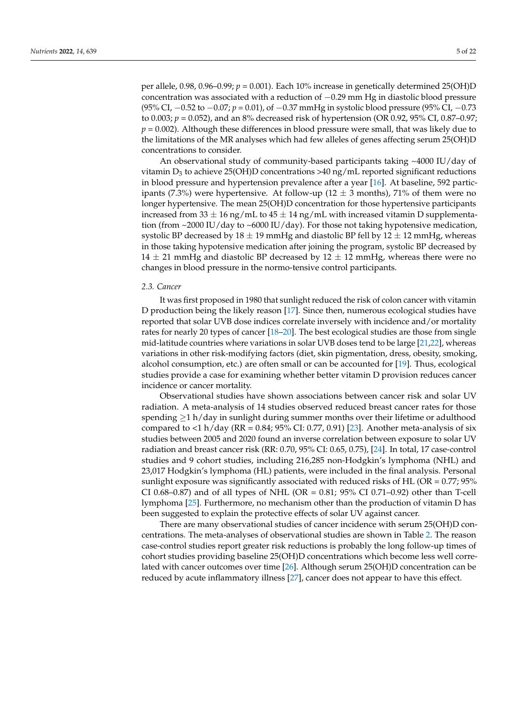per allele,  $0.98$ ,  $0.96$ –0.99;  $p = 0.001$ ). Each 10% increase in genetically determined 25(OH)D concentration was associated with a reduction of  $-0.29$  mm Hg in diastolic blood pressure (95% CI, −0.52 to −0.07; *p* = 0.01), of −0.37 mmHg in systolic blood pressure (95% CI, −0.73 to 0.003; *p* = 0.052), and an 8% decreased risk of hypertension (OR 0.92, 95% CI, 0.87–0.97; *p* = 0.002). Although these differences in blood pressure were small, that was likely due to the limitations of the MR analyses which had few alleles of genes affecting serum 25(OH)D concentrations to consider.

An observational study of community-based participants taking ~4000 IU/day of vitamin  $D_3$  to achieve 25(OH)D concentrations >40 ng/mL reported significant reductions in blood pressure and hypertension prevalence after a year [\[16\]](#page-18-7). At baseline, 592 participants (7.3%) were hypertensive. At follow-up (12  $\pm$  3 months), 71% of them were no longer hypertensive. The mean 25(OH)D concentration for those hypertensive participants increased from 33  $\pm$  16 ng/mL to 45  $\pm$  14 ng/mL with increased vitamin D supplementation (from ~2000 IU/day to ~6000 IU/day). For those not taking hypotensive medication, systolic BP decreased by  $18 \pm 19$  mmHg and diastolic BP fell by  $12 \pm 12$  mmHg, whereas in those taking hypotensive medication after joining the program, systolic BP decreased by 14  $\pm$  21 mmHg and diastolic BP decreased by 12  $\pm$  12 mmHg, whereas there were no changes in blood pressure in the normo-tensive control participants.

#### *2.3. Cancer*

It was first proposed in 1980 that sunlight reduced the risk of colon cancer with vitamin D production being the likely reason [\[17\]](#page-18-8). Since then, numerous ecological studies have reported that solar UVB dose indices correlate inversely with incidence and/or mortality rates for nearly 20 types of cancer [\[18](#page-18-9)[–20\]](#page-18-10). The best ecological studies are those from single mid-latitude countries where variations in solar UVB doses tend to be large [\[21,](#page-18-11)[22\]](#page-18-12), whereas variations in other risk-modifying factors (diet, skin pigmentation, dress, obesity, smoking, alcohol consumption, etc.) are often small or can be accounted for [\[19\]](#page-18-13). Thus, ecological studies provide a case for examining whether better vitamin D provision reduces cancer incidence or cancer mortality.

Observational studies have shown associations between cancer risk and solar UV radiation. A meta-analysis of 14 studies observed reduced breast cancer rates for those spending  $\geq 1$  h/day in sunlight during summer months over their lifetime or adulthood compared to <1 h/day ( $RR = 0.84$ ;  $95\%$  CI: 0.77, 0.91) [\[23\]](#page-18-14). Another meta-analysis of six studies between 2005 and 2020 found an inverse correlation between exposure to solar UV radiation and breast cancer risk (RR: 0.70, 95% CI: 0.65, 0.75), [\[24\]](#page-18-15). In total, 17 case-control studies and 9 cohort studies, including 216,285 non-Hodgkin's lymphoma (NHL) and 23,017 Hodgkin's lymphoma (HL) patients, were included in the final analysis. Personal sunlight exposure was significantly associated with reduced risks of HL ( $OR = 0.77$ ;  $95\%$ CI 0.68–0.87) and of all types of NHL (OR = 0.81;  $95\%$  CI 0.71–0.92) other than T-cell lymphoma [\[25\]](#page-18-16). Furthermore, no mechanism other than the production of vitamin D has been suggested to explain the protective effects of solar UV against cancer.

There are many observational studies of cancer incidence with serum 25(OH)D concentrations. The meta-analyses of observational studies are shown in Table [2.](#page-7-0) The reason case-control studies report greater risk reductions is probably the long follow-up times of cohort studies providing baseline 25(OH)D concentrations which become less well correlated with cancer outcomes over time [\[26\]](#page-18-17). Although serum 25(OH)D concentration can be reduced by acute inflammatory illness [\[27\]](#page-18-18), cancer does not appear to have this effect.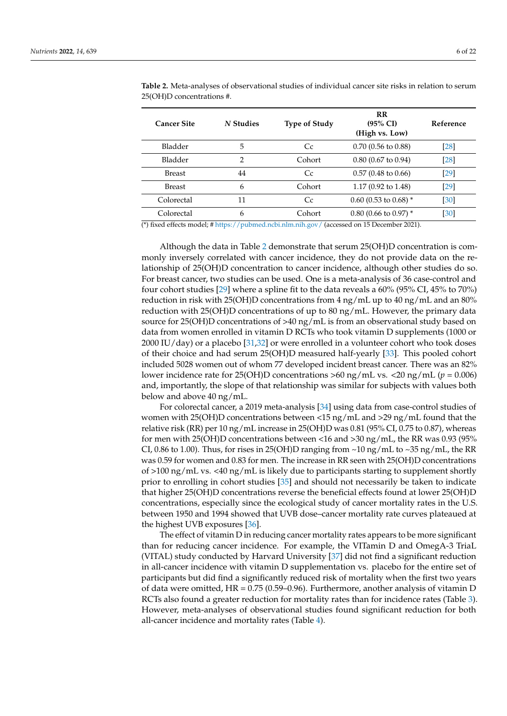| <b>Cancer Site</b> | N Studies      | <b>Type of Study</b> | <b>RR</b><br>$(95\% \text{ CI})$<br>(High vs. Low) | Reference |
|--------------------|----------------|----------------------|----------------------------------------------------|-----------|
| Bladder            | 5              | Cc                   | $0.70$ (0.56 to 0.88)                              | $[28]$    |
| <b>Bladder</b>     | $\overline{2}$ | Cohort               | $0.80$ (0.67 to 0.94)                              | [28]      |
| <b>Breast</b>      | 44             | Cc                   | $0.57(0.48 \text{ to } 0.66)$                      | $[29]$    |
| <b>Breast</b>      | 6              | Cohort               | 1.17 $(0.92 \text{ to } 1.48)$                     | [29]      |
| Colorectal         | 11             | Cc                   | $0.60$ (0.53 to 0.68) *                            | [30]      |
| Colorectal         | 6              | Cohort               | $0.80$ (0.66 to 0.97) *                            | [30]      |

<span id="page-7-0"></span>**Table 2.** Meta-analyses of observational studies of individual cancer site risks in relation to serum 25(OH)D concentrations #.

(\*) fixed effects model; # <https://pubmed.ncbi.nlm.nih.gov/> (accessed on 15 December 2021).

Although the data in Table [2](#page-7-0) demonstrate that serum 25(OH)D concentration is commonly inversely correlated with cancer incidence, they do not provide data on the relationship of 25(OH)D concentration to cancer incidence, although other studies do so. For breast cancer, two studies can be used. One is a meta-analysis of 36 case-control and four cohort studies [\[29\]](#page-18-20) where a spline fit to the data reveals a 60% (95% CI, 45% to 70%) reduction in risk with 25(OH)D concentrations from 4 ng/mL up to 40 ng/mL and an 80% reduction with 25(OH)D concentrations of up to 80 ng/mL. However, the primary data source for 25(OH)D concentrations of >40 ng/mL is from an observational study based on data from women enrolled in vitamin D RCTs who took vitamin D supplements (1000 or 2000 IU/day) or a placebo [\[31,](#page-18-22)[32\]](#page-18-23) or were enrolled in a volunteer cohort who took doses of their choice and had serum 25(OH)D measured half-yearly [\[33\]](#page-18-24). This pooled cohort included 5028 women out of whom 77 developed incident breast cancer. There was an 82% lower incidence rate for 25(OH)D concentrations >60 ng/mL vs. <20 ng/mL (*p* = 0.006) and, importantly, the slope of that relationship was similar for subjects with values both below and above 40 ng/mL.

For colorectal cancer, a 2019 meta-analysis [\[34\]](#page-18-25) using data from case-control studies of women with 25(OH)D concentrations between  $\langle 15 \text{ ng/mL}$  and  $\langle 29 \text{ ng/mL}$  found that the relative risk (RR) per 10 ng/mL increase in 25(OH)D was 0.81 (95% CI, 0.75 to 0.87), whereas for men with 25(OH)D concentrations between <16 and >30 ng/mL, the RR was 0.93 (95% CI, 0.86 to 1.00). Thus, for rises in 25(OH)D ranging from  $\sim$  10 ng/mL to  $\sim$  35 ng/mL, the RR was 0.59 for women and 0.83 for men. The increase in RR seen with 25(OH)D concentrations of  $>100$  ng/mL vs. <40 ng/mL is likely due to participants starting to supplement shortly prior to enrolling in cohort studies [\[35\]](#page-19-0) and should not necessarily be taken to indicate that higher 25(OH)D concentrations reverse the beneficial effects found at lower 25(OH)D concentrations, especially since the ecological study of cancer mortality rates in the U.S. between 1950 and 1994 showed that UVB dose–cancer mortality rate curves plateaued at the highest UVB exposures [\[36\]](#page-19-1).

The effect of vitamin D in reducing cancer mortality rates appears to be more significant than for reducing cancer incidence. For example, the VITamin D and OmegA-3 TriaL (VITAL) study conducted by Harvard University [\[37\]](#page-19-2) did not find a significant reduction in all-cancer incidence with vitamin D supplementation vs. placebo for the entire set of participants but did find a significantly reduced risk of mortality when the first two years of data were omitted, HR = 0.75 (0.59–0.96). Furthermore, another analysis of vitamin D RCTs also found a greater reduction for mortality rates than for incidence rates (Table [3\)](#page-8-0). However, meta-analyses of observational studies found significant reduction for both all-cancer incidence and mortality rates (Table [4\)](#page-8-1).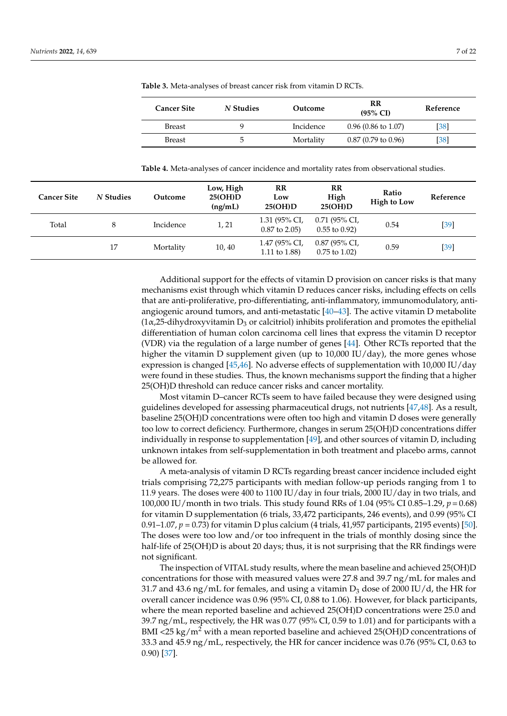| <b>Cancer Site</b> | N Studies | Outcome   | RR<br>$(95\% \text{ CI})$     | Reference |
|--------------------|-----------|-----------|-------------------------------|-----------|
| <b>Breast</b>      | u         | Incidence | $0.96(0.86 \text{ to } 1.07)$ | [38]      |
| <b>Breast</b>      | 5         | Mortality | $0.87$ (0.79 to 0.96)         | [38]      |

<span id="page-8-0"></span>**Table 3.** Meta-analyses of breast cancer risk from vitamin D RCTs.

<span id="page-8-1"></span>**Table 4.** Meta-analyses of cancer incidence and mortality rates from observational studies.

| <b>Cancer Site</b> | N Studies | Outcome   | Low, High<br>25(OH)D<br>(ng/mL) | $_{\rm RR}$<br>Low<br>25(OH)D       | RR<br>High<br>25(OH)D                 | Ratio<br><b>High to Low</b> | Reference |
|--------------------|-----------|-----------|---------------------------------|-------------------------------------|---------------------------------------|-----------------------------|-----------|
| Total              | 8         | Incidence | 1, 21                           | 1.31 (95% CI,<br>$0.87$ to $2.05$ ) | $0.71$ (95% CI,<br>$0.55$ to $0.92$ ) | 0.54                        | $[39]$    |
|                    | 17        | Mortality | 10,40                           | 1.47 (95% CI,<br>1.11 to 1.88)      | $0.87$ (95% CI,<br>$0.75$ to $1.02$ ) | 0.59                        | $[39]$    |

Additional support for the effects of vitamin D provision on cancer risks is that many mechanisms exist through which vitamin D reduces cancer risks, including effects on cells that are anti-proliferative, pro-differentiating, anti-inflammatory, immunomodulatory, antiangiogenic around tumors, and anti-metastatic [\[40–](#page-19-5)[43\]](#page-19-6). The active vitamin D metabolite  $(1\alpha,25$ -dihydroxyvitamin D<sub>3</sub> or calcitriol) inhibits proliferation and promotes the epithelial differentiation of human colon carcinoma cell lines that express the vitamin D receptor (VDR) via the regulation of a large number of genes [\[44\]](#page-19-7). Other RCTs reported that the higher the vitamin D supplement given (up to 10,000 IU/day), the more genes whose expression is changed [\[45](#page-19-8)[,46\]](#page-19-9). No adverse effects of supplementation with 10,000 IU/day were found in these studies. Thus, the known mechanisms support the finding that a higher 25(OH)D threshold can reduce cancer risks and cancer mortality.

Most vitamin D–cancer RCTs seem to have failed because they were designed using guidelines developed for assessing pharmaceutical drugs, not nutrients [\[47](#page-19-10)[,48\]](#page-19-11). As a result, baseline 25(OH)D concentrations were often too high and vitamin D doses were generally too low to correct deficiency. Furthermore, changes in serum 25(OH)D concentrations differ individually in response to supplementation [\[49\]](#page-19-12), and other sources of vitamin D, including unknown intakes from self-supplementation in both treatment and placebo arms, cannot be allowed for.

A meta-analysis of vitamin D RCTs regarding breast cancer incidence included eight trials comprising 72,275 participants with median follow-up periods ranging from 1 to 11.9 years. The doses were 400 to 1100 IU/day in four trials, 2000 IU/day in two trials, and 100,000 IU/month in two trials. This study found RRs of 1.04 (95% CI 0.85–1.29, *p* = 0.68) for vitamin D supplementation (6 trials, 33,472 participants, 246 events), and 0.99 (95% CI 0.91–1.07, *p* = 0.73) for vitamin D plus calcium (4 trials, 41,957 participants, 2195 events) [\[50\]](#page-19-13). The doses were too low and/or too infrequent in the trials of monthly dosing since the half-life of 25(OH)D is about 20 days; thus, it is not surprising that the RR findings were not significant.

The inspection of VITAL study results, where the mean baseline and achieved 25(OH)D concentrations for those with measured values were 27.8 and 39.7 ng/mL for males and 31.7 and 43.6 ng/mL for females, and using a vitamin  $D_3$  dose of 2000 IU/d, the HR for overall cancer incidence was 0.96 (95% CI, 0.88 to 1.06). However, for black participants, where the mean reported baseline and achieved 25(OH)D concentrations were 25.0 and 39.7 ng/mL, respectively, the HR was 0.77 (95% CI, 0.59 to 1.01) and for participants with a BMI <25 kg/m<sup>2</sup> with a mean reported baseline and achieved 25(OH)D concentrations of 33.3 and 45.9 ng/mL, respectively, the HR for cancer incidence was 0.76 (95% CI, 0.63 to 0.90) [\[37\]](#page-19-2).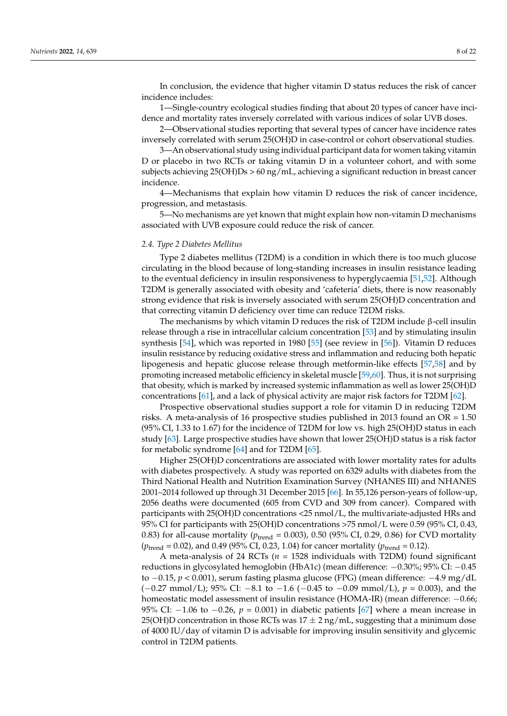In conclusion, the evidence that higher vitamin D status reduces the risk of cancer incidence includes:

1—Single-country ecological studies finding that about 20 types of cancer have incidence and mortality rates inversely correlated with various indices of solar UVB doses.

2—Observational studies reporting that several types of cancer have incidence rates inversely correlated with serum 25(OH)D in case-control or cohort observational studies.

3—An observational study using individual participant data for women taking vitamin D or placebo in two RCTs or taking vitamin D in a volunteer cohort, and with some subjects achieving 25(OH)Ds > 60 ng/mL, achieving a significant reduction in breast cancer incidence.

4—Mechanisms that explain how vitamin D reduces the risk of cancer incidence, progression, and metastasis.

5—No mechanisms are yet known that might explain how non-vitamin D mechanisms associated with UVB exposure could reduce the risk of cancer.

#### *2.4. Type 2 Diabetes Mellitus*

Type 2 diabetes mellitus (T2DM) is a condition in which there is too much glucose circulating in the blood because of long-standing increases in insulin resistance leading to the eventual deficiency in insulin responsiveness to hyperglycaemia [\[51,](#page-19-14)[52\]](#page-19-15). Although T2DM is generally associated with obesity and 'cafeteria' diets, there is now reasonably strong evidence that risk is inversely associated with serum 25(OH)D concentration and that correcting vitamin D deficiency over time can reduce T2DM risks.

The mechanisms by which vitamin D reduces the risk of T2DM include β-cell insulin release through a rise in intracellular calcium concentration [\[53\]](#page-19-16) and by stimulating insulin synthesis [\[54\]](#page-19-17), which was reported in 1980 [\[55\]](#page-19-18) (see review in [\[56\]](#page-19-19)). Vitamin D reduces insulin resistance by reducing oxidative stress and inflammation and reducing both hepatic lipogenesis and hepatic glucose release through metformin-like effects [\[57,](#page-19-20)[58\]](#page-19-21) and by promoting increased metabolic efficiency in skeletal muscle [\[59,](#page-19-22)[60\]](#page-19-23). Thus, it is not surprising that obesity, which is marked by increased systemic inflammation as well as lower 25(OH)D concentrations [\[61\]](#page-19-24), and a lack of physical activity are major risk factors for T2DM [\[62\]](#page-20-0).

Prospective observational studies support a role for vitamin D in reducing T2DM risks. A meta-analysis of 16 prospective studies published in 2013 found an OR = 1.50 (95% CI, 1.33 to 1.67) for the incidence of T2DM for low vs. high 25(OH)D status in each study [\[63\]](#page-20-1). Large prospective studies have shown that lower 25(OH)D status is a risk factor for metabolic syndrome [\[64\]](#page-20-2) and for T2DM [\[65\]](#page-20-3).

Higher 25(OH)D concentrations are associated with lower mortality rates for adults with diabetes prospectively. A study was reported on 6329 adults with diabetes from the Third National Health and Nutrition Examination Survey (NHANES III) and NHANES 2001–2014 followed up through 31 December 2015 [\[66\]](#page-20-4). In 55,126 person-years of follow-up, 2056 deaths were documented (605 from CVD and 309 from cancer). Compared with participants with 25(OH)D concentrations <25 nmol/L, the multivariate-adjusted HRs and 95% CI for participants with 25(OH)D concentrations >75 nmol/L were 0.59 (95% CI, 0.43, 0.83) for all-cause mortality ( $p_{\text{trend}} = 0.003$ ), 0.50 (95% CI, 0.29, 0.86) for CVD mortality  $(p_{\text{trend}} = 0.02)$ , and 0.49 (95% CI, 0.23, 1.04) for cancer mortality ( $p_{\text{trend}} = 0.12$ ).

A meta-analysis of 24 RCTs (*n* = 1528 individuals with T2DM) found significant reductions in glycosylated hemoglobin (HbA1c) (mean difference: −0.30%; 95% CI: −0.45 to −0.15, *p* < 0.001), serum fasting plasma glucose (FPG) (mean difference: −4.9 mg/dL (−0.27 mmol/L); 95% CI: −8.1 to −1.6 (−0.45 to −0.09 mmol/L), *p* = 0.003), and the homeostatic model assessment of insulin resistance (HOMA-IR) (mean difference: −0.66; 95% CI: −1.06 to −0.26, *p* = 0.001) in diabetic patients [\[67\]](#page-20-5) where a mean increase in 25(OH)D concentration in those RCTs was  $17 \pm 2$  ng/mL, suggesting that a minimum dose of 4000 IU/day of vitamin D is advisable for improving insulin sensitivity and glycemic control in T2DM patients.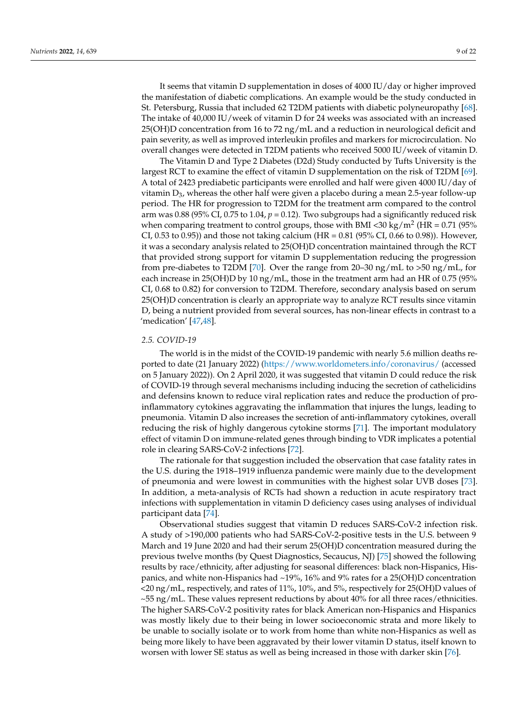It seems that vitamin D supplementation in doses of 4000 IU/day or higher improved the manifestation of diabetic complications. An example would be the study conducted in St. Petersburg, Russia that included 62 T2DM patients with diabetic polyneuropathy [\[68\]](#page-20-6). The intake of 40,000 IU/week of vitamin D for 24 weeks was associated with an increased 25(OH)D concentration from 16 to 72 ng/mL and a reduction in neurological deficit and pain severity, as well as improved interleukin profiles and markers for microcirculation. No overall changes were detected in T2DM patients who received 5000 IU/week of vitamin D.

The Vitamin D and Type 2 Diabetes (D2d) Study conducted by Tufts University is the largest RCT to examine the effect of vitamin D supplementation on the risk of T2DM [\[69\]](#page-20-7). A total of 2423 prediabetic participants were enrolled and half were given 4000 IU/day of vitamin  $D_3$ , whereas the other half were given a placebo during a mean 2.5-year follow-up period. The HR for progression to T2DM for the treatment arm compared to the control arm was 0.88 (95% CI, 0.75 to 1.04, *p* = 0.12). Two subgroups had a significantly reduced risk when comparing treatment to control groups, those with BMI <30 kg/m<sup>2</sup> (HR = 0.71 (95% CI, 0.53 to 0.95)) and those not taking calcium (HR =  $0.81$  (95% CI, 0.66 to 0.98)). However, it was a secondary analysis related to 25(OH)D concentration maintained through the RCT that provided strong support for vitamin D supplementation reducing the progression from pre-diabetes to T2DM [\[70\]](#page-20-8). Over the range from 20–30 ng/mL to >50 ng/mL, for each increase in 25(OH)D by 10 ng/mL, those in the treatment arm had an HR of 0.75 (95% CI, 0.68 to 0.82) for conversion to T2DM. Therefore, secondary analysis based on serum 25(OH)D concentration is clearly an appropriate way to analyze RCT results since vitamin D, being a nutrient provided from several sources, has non-linear effects in contrast to a 'medication' [\[47,](#page-19-10)[48\]](#page-19-11).

#### *2.5. COVID-19*

The world is in the midst of the COVID-19 pandemic with nearly 5.6 million deaths reported to date (21 January 2022) [\(https://www.worldometers.info/coronavirus/](https://www.worldometers.info/coronavirus/) (accessed on 5 January 2022)). On 2 April 2020, it was suggested that vitamin D could reduce the risk of COVID-19 through several mechanisms including inducing the secretion of cathelicidins and defensins known to reduce viral replication rates and reduce the production of proinflammatory cytokines aggravating the inflammation that injures the lungs, leading to pneumonia. Vitamin D also increases the secretion of anti-inflammatory cytokines, overall reducing the risk of highly dangerous cytokine storms [\[71\]](#page-20-9). The important modulatory effect of vitamin D on immune-related genes through binding to VDR implicates a potential role in clearing SARS-CoV-2 infections [\[72\]](#page-20-10).

The rationale for that suggestion included the observation that case fatality rates in the U.S. during the 1918–1919 influenza pandemic were mainly due to the development of pneumonia and were lowest in communities with the highest solar UVB doses [\[73\]](#page-20-11). In addition, a meta-analysis of RCTs had shown a reduction in acute respiratory tract infections with supplementation in vitamin D deficiency cases using analyses of individual participant data [\[74\]](#page-20-12).

Observational studies suggest that vitamin D reduces SARS-CoV-2 infection risk. A study of >190,000 patients who had SARS-CoV-2-positive tests in the U.S. between 9 March and 19 June 2020 and had their serum 25(OH)D concentration measured during the previous twelve months (by Quest Diagnostics, Secaucus, NJ) [\[75\]](#page-20-13) showed the following results by race/ethnicity, after adjusting for seasonal differences: black non-Hispanics, Hispanics, and white non-Hispanics had ~19%, 16% and 9% rates for a 25(OH)D concentration <20 ng/mL, respectively, and rates of 11%, 10%, and 5%, respectively for 25(OH)D values of ~55 ng/mL. These values represent reductions by about 40% for all three races/ethnicities. The higher SARS-CoV-2 positivity rates for black American non-Hispanics and Hispanics was mostly likely due to their being in lower socioeconomic strata and more likely to be unable to socially isolate or to work from home than white non-Hispanics as well as being more likely to have been aggravated by their lower vitamin D status, itself known to worsen with lower SE status as well as being increased in those with darker skin [\[76\]](#page-20-14).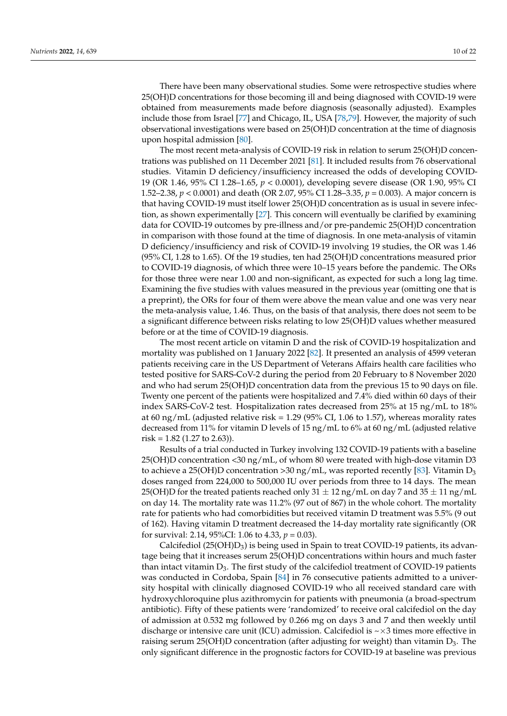There have been many observational studies. Some were retrospective studies where 25(OH)D concentrations for those becoming ill and being diagnosed with COVID-19 were obtained from measurements made before diagnosis (seasonally adjusted). Examples include those from Israel [\[77\]](#page-20-15) and Chicago, IL, USA [\[78](#page-20-16)[,79\]](#page-20-17). However, the majority of such observational investigations were based on 25(OH)D concentration at the time of diagnosis upon hospital admission [\[80\]](#page-20-18).

The most recent meta-analysis of COVID-19 risk in relation to serum 25(OH)D concentrations was published on 11 December 2021 [\[81\]](#page-20-19). It included results from 76 observational studies. Vitamin D deficiency/insufficiency increased the odds of developing COVID-19 (OR 1.46, 95% CI 1.28–1.65, *p* < 0.0001), developing severe disease (OR 1.90, 95% CI 1.52–2.38, *p* < 0.0001) and death (OR 2.07, 95% CI 1.28–3.35, *p* = 0.003). A major concern is that having COVID-19 must itself lower 25(OH)D concentration as is usual in severe infection, as shown experimentally [\[27\]](#page-18-18). This concern will eventually be clarified by examining data for COVID-19 outcomes by pre-illness and/or pre-pandemic 25(OH)D concentration in comparison with those found at the time of diagnosis. In one meta-analysis of vitamin D deficiency/insufficiency and risk of COVID-19 involving 19 studies, the OR was 1.46 (95% CI, 1.28 to 1.65). Of the 19 studies, ten had 25(OH)D concentrations measured prior to COVID-19 diagnosis, of which three were 10–15 years before the pandemic. The ORs for those three were near 1.00 and non-significant, as expected for such a long lag time. Examining the five studies with values measured in the previous year (omitting one that is a preprint), the ORs for four of them were above the mean value and one was very near the meta-analysis value, 1.46. Thus, on the basis of that analysis, there does not seem to be a significant difference between risks relating to low 25(OH)D values whether measured before or at the time of COVID-19 diagnosis.

The most recent article on vitamin D and the risk of COVID-19 hospitalization and mortality was published on 1 January 2022 [\[82\]](#page-20-20). It presented an analysis of 4599 veteran patients receiving care in the US Department of Veterans Affairs health care facilities who tested positive for SARS-CoV-2 during the period from 20 February to 8 November 2020 and who had serum 25(OH)D concentration data from the previous 15 to 90 days on file. Twenty one percent of the patients were hospitalized and 7.4% died within 60 days of their index SARS-CoV-2 test. Hospitalization rates decreased from 25% at 15 ng/mL to 18% at 60 ng/mL (adjusted relative risk = 1.29 (95% CI, 1.06 to 1.57), whereas morality rates decreased from 11% for vitamin D levels of 15 ng/mL to 6% at 60 ng/mL (adjusted relative risk =  $1.82$  (1.27 to  $2.63$ )).

Results of a trial conducted in Turkey involving 132 COVID-19 patients with a baseline 25(OH)D concentration <30 ng/mL, of whom 80 were treated with high-dose vitamin D3 to achieve a 25(OH)D concentration >30 ng/mL, was reported recently [\[83\]](#page-20-21). Vitamin  $D_3$ doses ranged from 224,000 to 500,000 IU over periods from three to 14 days. The mean 25(OH)D for the treated patients reached only  $31 \pm 12$  ng/mL on day 7 and  $35 \pm 11$  ng/mL on day 14. The mortality rate was 11.2% (97 out of 867) in the whole cohort. The mortality rate for patients who had comorbidities but received vitamin D treatment was 5.5% (9 out of 162). Having vitamin D treatment decreased the 14-day mortality rate significantly (OR for survival: 2.14, 95%CI: 1.06 to 4.33, *p* = 0.03).

Calcifediol  $(25(OH)D_3)$  is being used in Spain to treat COVID-19 patients, its advantage being that it increases serum 25(OH)D concentrations within hours and much faster than intact vitamin  $D_3$ . The first study of the calcifediol treatment of COVID-19 patients was conducted in Cordoba, Spain [\[84\]](#page-20-22) in 76 consecutive patients admitted to a university hospital with clinically diagnosed COVID-19 who all received standard care with hydroxychloroquine plus azithromycin for patients with pneumonia (a broad-spectrum antibiotic). Fifty of these patients were 'randomized' to receive oral calcifediol on the day of admission at 0.532 mg followed by 0.266 mg on days 3 and 7 and then weekly until discharge or intensive care unit (ICU) admission. Calcifediol is  $\sim \times 3$  times more effective in raising serum 25(OH)D concentration (after adjusting for weight) than vitamin  $D_3$ . The only significant difference in the prognostic factors for COVID-19 at baseline was previous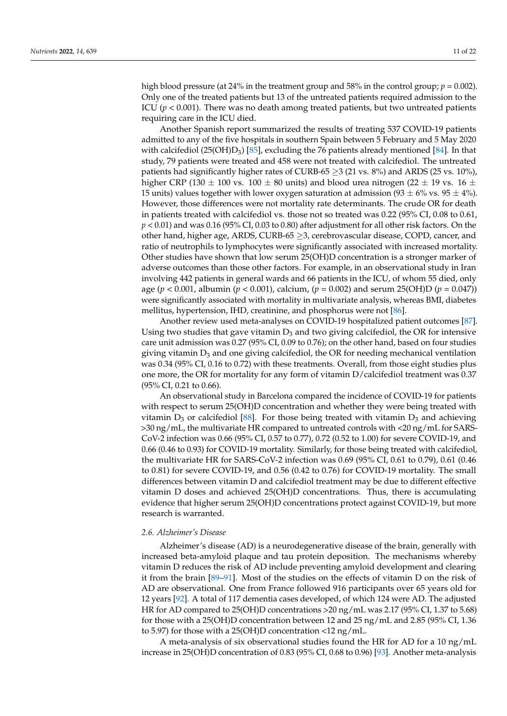high blood pressure (at 24% in the treatment group and 58% in the control group;  $p = 0.002$ ). Only one of the treated patients but 13 of the untreated patients required admission to the ICU ( $p < 0.001$ ). There was no death among treated patients, but two untreated patients requiring care in the ICU died.

Another Spanish report summarized the results of treating 537 COVID-19 patients admitted to any of the five hospitals in southern Spain between 5 February and 5 May 2020 with calcifediol (25(OH)D<sub>3</sub>) [\[85\]](#page-20-23), excluding the 76 patients already mentioned [\[84\]](#page-20-22). In that study, 79 patients were treated and 458 were not treated with calcifediol. The untreated patients had significantly higher rates of CURB-65  $\geq$ 3 (21 vs. 8%) and ARDS (25 vs. 10%), higher CRP (130  $\pm$  100 vs. 100  $\pm$  80 units) and blood urea nitrogen (22  $\pm$  19 vs. 16  $\pm$ 15 units) values together with lower oxygen saturation at admission  $(93 \pm 6\% \text{ vs. } 95 \pm 4\%)$ . However, those differences were not mortality rate determinants. The crude OR for death in patients treated with calcifediol vs. those not so treated was 0.22 (95% CI, 0.08 to 0.61, *p* < 0.01) and was 0.16 (95% CI, 0.03 to 0.80) after adjustment for all other risk factors. On the other hand, higher age, ARDS, CURB-65 ≥3, cerebrovascular disease, COPD, cancer, and ratio of neutrophils to lymphocytes were significantly associated with increased mortality. Other studies have shown that low serum 25(OH)D concentration is a stronger marker of adverse outcomes than those other factors. For example, in an observational study in Iran involving 442 patients in general wards and 66 patients in the ICU, of whom 55 died, only age (*p* < 0.001, albumin (*p* < 0.001), calcium, (*p* = 0.002) and serum 25(OH)D (*p* = 0.047)) were significantly associated with mortality in multivariate analysis, whereas BMI, diabetes mellitus, hypertension, IHD, creatinine, and phosphorus were not [\[86\]](#page-21-0).

Another review used meta-analyses on COVID-19 hospitalized patient outcomes [\[87\]](#page-21-1). Using two studies that gave vitamin  $D_3$  and two giving calcifediol, the OR for intensive care unit admission was 0.27 (95% CI, 0.09 to 0.76); on the other hand, based on four studies giving vitamin  $D_3$  and one giving calcifediol, the OR for needing mechanical ventilation was 0.34 (95% CI, 0.16 to 0.72) with these treatments. Overall, from those eight studies plus one more, the OR for mortality for any form of vitamin D/calcifediol treatment was 0.37 (95% CI, 0.21 to 0.66).

An observational study in Barcelona compared the incidence of COVID-19 for patients with respect to serum 25(OH)D concentration and whether they were being treated with vitamin  $D_3$  or calcifediol [\[88\]](#page-21-2). For those being treated with vitamin  $D_3$  and achieving >30 ng/mL, the multivariate HR compared to untreated controls with <20 ng/mL for SARS-CoV-2 infection was 0.66 (95% CI, 0.57 to 0.77), 0.72 (0.52 to 1.00) for severe COVID-19, and 0.66 (0.46 to 0.93) for COVID-19 mortality. Similarly, for those being treated with calcifediol, the multivariate HR for SARS-CoV-2 infection was 0.69 (95% CI, 0.61 to 0.79), 0.61 (0.46 to 0.81) for severe COVID-19, and 0.56 (0.42 to 0.76) for COVID-19 mortality. The small differences between vitamin D and calcifediol treatment may be due to different effective vitamin D doses and achieved 25(OH)D concentrations. Thus, there is accumulating evidence that higher serum 25(OH)D concentrations protect against COVID-19, but more research is warranted.

#### *2.6. Alzheimer's Disease*

Alzheimer's disease (AD) is a neurodegenerative disease of the brain, generally with increased beta-amyloid plaque and tau protein deposition. The mechanisms whereby vitamin D reduces the risk of AD include preventing amyloid development and clearing it from the brain [\[89–](#page-21-3)[91\]](#page-21-4). Most of the studies on the effects of vitamin D on the risk of AD are observational. One from France followed 916 participants over 65 years old for 12 years [\[92\]](#page-21-5). A total of 117 dementia cases developed, of which 124 were AD. The adjusted HR for AD compared to 25(OH)D concentrations >20 ng/mL was 2.17 (95% CI, 1.37 to 5.68) for those with a 25(OH)D concentration between 12 and 25 ng/mL and 2.85 (95% CI, 1.36 to 5.97) for those with a 25(OH)D concentration <12 ng/mL.

A meta-analysis of six observational studies found the HR for AD for a 10 ng/mL increase in 25(OH)D concentration of 0.83 (95% CI, 0.68 to 0.96) [\[93\]](#page-21-6). Another meta-analysis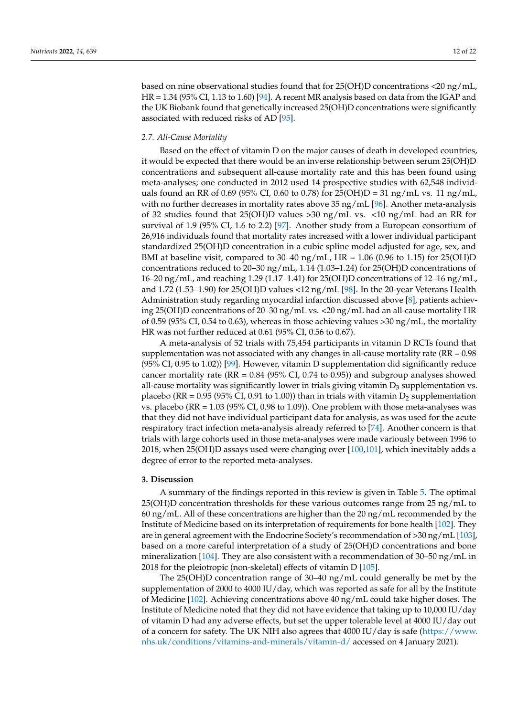based on nine observational studies found that for 25(OH)D concentrations <20 ng/mL, HR =  $1.34$  (95% CI, 1.13 to 1.60) [\[94\]](#page-21-7). A recent MR analysis based on data from the IGAP and the UK Biobank found that genetically increased 25(OH)D concentrations were significantly associated with reduced risks of AD [\[95\]](#page-21-8).

#### *2.7. All-Cause Mortality*

Based on the effect of vitamin D on the major causes of death in developed countries, it would be expected that there would be an inverse relationship between serum 25(OH)D concentrations and subsequent all-cause mortality rate and this has been found using meta-analyses; one conducted in 2012 used 14 prospective studies with 62,548 individuals found an RR of 0.69 (95% CI, 0.60 to 0.78) for 25(OH)D = 31 ng/mL vs. 11 ng/mL, with no further decreases in mortality rates above  $35 \text{ ng/mL}$  [\[96\]](#page-21-9). Another meta-analysis of 32 studies found that 25(OH)D values >30 ng/mL vs. <10 ng/mL had an RR for survival of 1.9 (95% CI, 1.6 to 2.2) [\[97\]](#page-21-10). Another study from a European consortium of 26,916 individuals found that mortality rates increased with a lower individual participant standardized 25(OH)D concentration in a cubic spline model adjusted for age, sex, and BMI at baseline visit, compared to  $30-40$  ng/mL, HR = 1.06 (0.96 to 1.15) for 25(OH)D concentrations reduced to  $20-30$  ng/mL,  $1.14$  (1.03–1.24) for  $25(OH)D$  concentrations of 16–20 ng/mL, and reaching 1.29 (1.17–1.41) for 25(OH)D concentrations of 12–16 ng/mL, and 1.72 (1.53–1.90) for 25(OH)D values <12 ng/mL [\[98\]](#page-21-11). In the 20-year Veterans Health Administration study regarding myocardial infarction discussed above [\[8\]](#page-17-7), patients achieving 25(OH)D concentrations of 20–30 ng/mL vs. <20 ng/mL had an all-cause mortality HR of 0.59 (95% CI, 0.54 to 0.63), whereas in those achieving values >30 ng/mL, the mortality HR was not further reduced at 0.61 (95% CI, 0.56 to 0.67).

A meta-analysis of 52 trials with 75,454 participants in vitamin D RCTs found that supplementation was not associated with any changes in all-cause mortality rate ( $RR = 0.98$ ) (95% CI, 0.95 to 1.02)) [\[99\]](#page-21-12). However, vitamin D supplementation did significantly reduce cancer mortality rate ( $RR = 0.84$  ( $95\%$  CI, 0.74 to 0.95)) and subgroup analyses showed all-cause mortality was significantly lower in trials giving vitamin  $D_3$  supplementation vs. placebo (RR =  $0.95$  (95% CI, 0.91 to 1.00)) than in trials with vitamin  $D_2$  supplementation vs. placebo ( $RR = 1.03$  (95% CI, 0.98 to 1.09)). One problem with those meta-analyses was that they did not have individual participant data for analysis, as was used for the acute respiratory tract infection meta-analysis already referred to [\[74\]](#page-20-12). Another concern is that trials with large cohorts used in those meta-analyses were made variously between 1996 to 2018, when 25(OH)D assays used were changing over [\[100](#page-21-13)[,101\]](#page-21-14), which inevitably adds a degree of error to the reported meta-analyses.

#### **3. Discussion**

A summary of the findings reported in this review is given in Table [5.](#page-14-0) The optimal 25(OH)D concentration thresholds for these various outcomes range from 25 ng/mL to 60 ng/mL. All of these concentrations are higher than the 20 ng/mL recommended by the Institute of Medicine based on its interpretation of requirements for bone health [\[102\]](#page-21-15). They are in general agreement with the Endocrine Society's recommendation of >30 ng/mL [\[103\]](#page-21-16), based on a more careful interpretation of a study of 25(OH)D concentrations and bone mineralization [\[104\]](#page-21-17). They are also consistent with a recommendation of 30–50 ng/mL in 2018 for the pleiotropic (non-skeletal) effects of vitamin D [\[105\]](#page-21-18).

The 25(OH)D concentration range of 30–40 ng/mL could generally be met by the supplementation of 2000 to 4000 IU/day, which was reported as safe for all by the Institute of Medicine [\[102\]](#page-21-15). Achieving concentrations above 40 ng/mL could take higher doses. The Institute of Medicine noted that they did not have evidence that taking up to 10,000 IU/day of vitamin D had any adverse effects, but set the upper tolerable level at 4000 IU/day out of a concern for safety. The UK NIH also agrees that 4000 IU/day is safe [\(https://www.](https://www.nhs.uk/conditions/vitamins-and-minerals/vitamin-d/) [nhs.uk/conditions/vitamins-and-minerals/vitamin-d/](https://www.nhs.uk/conditions/vitamins-and-minerals/vitamin-d/) accessed on 4 January 2021).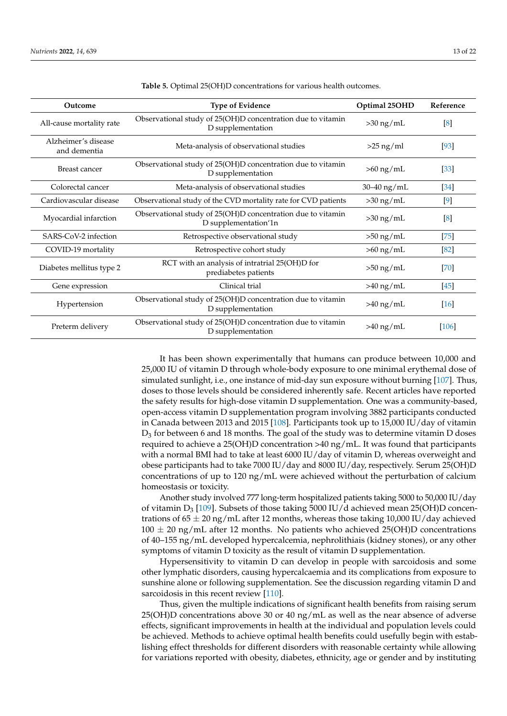| Outcome                             | <b>Type of Evidence</b>                                                             | Optimal 25OHD | Reference         |
|-------------------------------------|-------------------------------------------------------------------------------------|---------------|-------------------|
| All-cause mortality rate            | Observational study of 25(OH)D concentration due to vitamin<br>D supplementation    | $>30$ ng/mL   | [8]               |
| Alzheimer's disease<br>and dementia | Meta-analysis of observational studies                                              | $>25$ ng/ml   | [93]              |
| Breast cancer                       | Observational study of 25(OH)D concentration due to vitamin<br>D supplementation    | $>60$ ng/mL   | $\left[33\right]$ |
| Colorectal cancer                   | Meta-analysis of observational studies                                              | 30-40 ng/mL   | $[34]$            |
| Cardiovascular disease              | Observational study of the CVD mortality rate for CVD patients                      | $>30$ ng/mL   | $[9]$             |
| Myocardial infarction               | Observational study of 25(OH)D concentration due to vitamin<br>D supplementation'1n | $>30$ ng/mL   | [8]               |
| SARS-CoV-2 infection                | Retrospective observational study                                                   | $>50$ ng/mL   | [75]              |
| COVID-19 mortality                  | Retrospective cohort study                                                          | $>60$ ng/mL   | [82]              |
| Diabetes mellitus type 2            | RCT with an analysis of intratrial 25(OH)D for<br>prediabetes patients              | $>50$ ng/mL   | [70]              |
| Gene expression                     | Clinical trial                                                                      | $>40$ ng/mL   | $[45]$            |
| Hypertension                        | Observational study of 25(OH)D concentration due to vitamin<br>D supplementation    | $>40$ ng/mL   | $[16]$            |
| Preterm delivery                    | Observational study of 25(OH)D concentration due to vitamin<br>D supplementation    | $>40$ ng/mL   | [106]             |

<span id="page-14-0"></span>**Table 5.** Optimal 25(OH)D concentrations for various health outcomes.

It has been shown experimentally that humans can produce between 10,000 and 25,000 IU of vitamin D through whole-body exposure to one minimal erythemal dose of simulated sunlight, i.e., one instance of mid-day sun exposure without burning [\[107\]](#page-21-20). Thus, doses to those levels should be considered inherently safe. Recent articles have reported the safety results for high-dose vitamin D supplementation. One was a community-based, open-access vitamin D supplementation program involving 3882 participants conducted in Canada between 2013 and 2015 [\[108\]](#page-21-21). Participants took up to 15,000 IU/day of vitamin  $D_3$  for between 6 and 18 months. The goal of the study was to determine vitamin D doses required to achieve a 25(OH)D concentration >40 ng/mL. It was found that participants with a normal BMI had to take at least 6000 IU/day of vitamin D, whereas overweight and obese participants had to take 7000 IU/day and 8000 IU/day, respectively. Serum 25(OH)D concentrations of up to 120  $\frac{ng}{m}$  were achieved without the perturbation of calcium homeostasis or toxicity.

Another study involved 777 long-term hospitalized patients taking 5000 to 50,000 IU/day of vitamin  $D_3$  [\[109\]](#page-22-0). Subsets of those taking 5000 IU/d achieved mean 25(OH)D concentrations of  $65 \pm 20$  ng/mL after 12 months, whereas those taking 10,000 IU/day achieved  $100 \pm 20$  ng/mL after 12 months. No patients who achieved 25(OH)D concentrations of 40–155 ng/mL developed hypercalcemia, nephrolithiais (kidney stones), or any other symptoms of vitamin D toxicity as the result of vitamin D supplementation.

Hypersensitivity to vitamin D can develop in people with sarcoidosis and some other lymphatic disorders, causing hypercalcaemia and its complications from exposure to sunshine alone or following supplementation. See the discussion regarding vitamin D and sarcoidosis in this recent review [\[110\]](#page-22-1).

Thus, given the multiple indications of significant health benefits from raising serum 25(OH)D concentrations above 30 or 40 ng/mL as well as the near absence of adverse effects, significant improvements in health at the individual and population levels could be achieved. Methods to achieve optimal health benefits could usefully begin with establishing effect thresholds for different disorders with reasonable certainty while allowing for variations reported with obesity, diabetes, ethnicity, age or gender and by instituting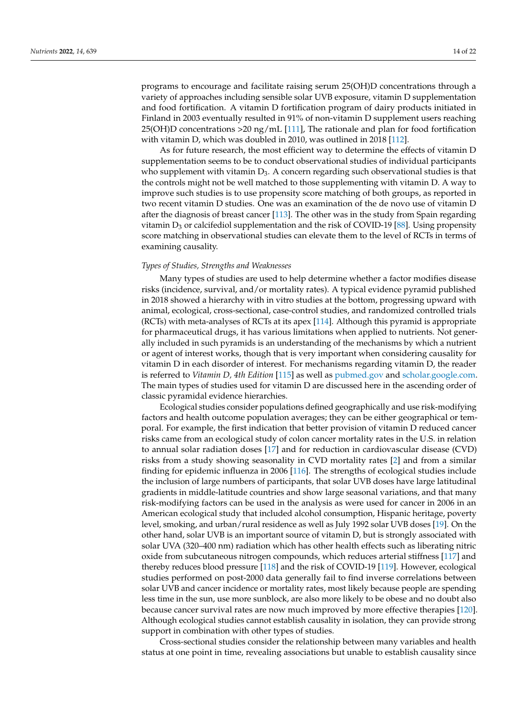programs to encourage and facilitate raising serum 25(OH)D concentrations through a variety of approaches including sensible solar UVB exposure, vitamin D supplementation and food fortification. A vitamin D fortification program of dairy products initiated in Finland in 2003 eventually resulted in 91% of non-vitamin D supplement users reaching 25(OH)D concentrations >20 ng/mL [\[111\]](#page-22-2), The rationale and plan for food fortification with vitamin D, which was doubled in 2010, was outlined in 2018 [\[112\]](#page-22-3).

As for future research, the most efficient way to determine the effects of vitamin D supplementation seems to be to conduct observational studies of individual participants who supplement with vitamin  $D_3$ . A concern regarding such observational studies is that the controls might not be well matched to those supplementing with vitamin D. A way to improve such studies is to use propensity score matching of both groups, as reported in two recent vitamin D studies. One was an examination of the de novo use of vitamin D after the diagnosis of breast cancer [\[113\]](#page-22-4). The other was in the study from Spain regarding vitamin  $D_3$  or calcifediol supplementation and the risk of COVID-19 [\[88\]](#page-21-2). Using propensity score matching in observational studies can elevate them to the level of RCTs in terms of examining causality.

#### *Types of Studies, Strengths and Weaknesses*

Many types of studies are used to help determine whether a factor modifies disease risks (incidence, survival, and/or mortality rates). A typical evidence pyramid published in 2018 showed a hierarchy with in vitro studies at the bottom, progressing upward with animal, ecological, cross-sectional, case-control studies, and randomized controlled trials (RCTs) with meta-analyses of RCTs at its apex [\[114\]](#page-22-5). Although this pyramid is appropriate for pharmaceutical drugs, it has various limitations when applied to nutrients. Not generally included in such pyramids is an understanding of the mechanisms by which a nutrient or agent of interest works, though that is very important when considering causality for vitamin D in each disorder of interest. For mechanisms regarding vitamin D, the reader is referred to *Vitamin D, 4th Edition* [\[115\]](#page-22-6) as well as <pubmed.gov> and [scholar.google.com.](scholar.google.com) The main types of studies used for vitamin D are discussed here in the ascending order of classic pyramidal evidence hierarchies.

Ecological studies consider populations defined geographically and use risk-modifying factors and health outcome population averages; they can be either geographical or temporal. For example, the first indication that better provision of vitamin D reduced cancer risks came from an ecological study of colon cancer mortality rates in the U.S. in relation to annual solar radiation doses [\[17\]](#page-18-8) and for reduction in cardiovascular disease (CVD) risks from a study showing seasonality in CVD mortality rates [\[2\]](#page-17-1) and from a similar finding for epidemic influenza in 2006 [\[116\]](#page-22-7). The strengths of ecological studies include the inclusion of large numbers of participants, that solar UVB doses have large latitudinal gradients in middle-latitude countries and show large seasonal variations, and that many risk-modifying factors can be used in the analysis as were used for cancer in 2006 in an American ecological study that included alcohol consumption, Hispanic heritage, poverty level, smoking, and urban/rural residence as well as July 1992 solar UVB doses [\[19\]](#page-18-13). On the other hand, solar UVB is an important source of vitamin D, but is strongly associated with solar UVA (320–400 nm) radiation which has other health effects such as liberating nitric oxide from subcutaneous nitrogen compounds, which reduces arterial stiffness [\[117\]](#page-22-8) and thereby reduces blood pressure [\[118\]](#page-22-9) and the risk of COVID-19 [\[119\]](#page-22-10). However, ecological studies performed on post-2000 data generally fail to find inverse correlations between solar UVB and cancer incidence or mortality rates, most likely because people are spending less time in the sun, use more sunblock, are also more likely to be obese and no doubt also because cancer survival rates are now much improved by more effective therapies [\[120\]](#page-22-11). Although ecological studies cannot establish causality in isolation, they can provide strong support in combination with other types of studies.

Cross-sectional studies consider the relationship between many variables and health status at one point in time, revealing associations but unable to establish causality since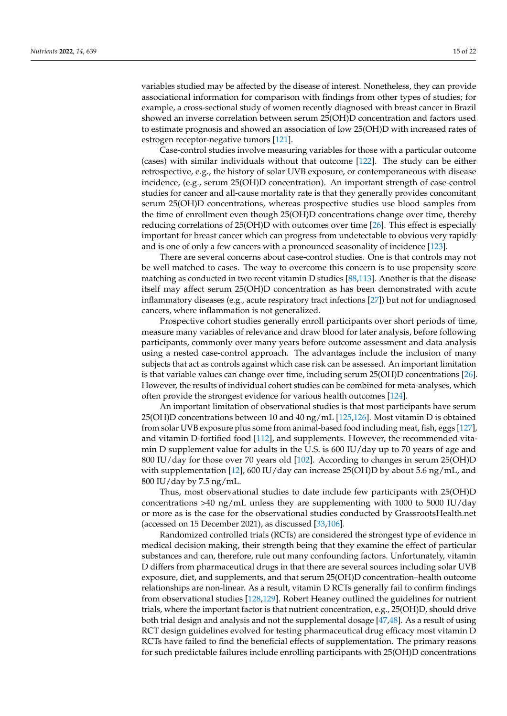variables studied may be affected by the disease of interest. Nonetheless, they can provide associational information for comparison with findings from other types of studies; for example, a cross-sectional study of women recently diagnosed with breast cancer in Brazil showed an inverse correlation between serum 25(OH)D concentration and factors used to estimate prognosis and showed an association of low 25(OH)D with increased rates of estrogen receptor-negative tumors [\[121\]](#page-22-12).

Case-control studies involve measuring variables for those with a particular outcome (cases) with similar individuals without that outcome [\[122\]](#page-22-13). The study can be either retrospective, e.g., the history of solar UVB exposure, or contemporaneous with disease incidence, (e.g., serum 25(OH)D concentration). An important strength of case-control studies for cancer and all-cause mortality rate is that they generally provides concomitant serum 25(OH)D concentrations, whereas prospective studies use blood samples from the time of enrollment even though 25(OH)D concentrations change over time, thereby reducing correlations of 25(OH)D with outcomes over time [\[26\]](#page-18-17). This effect is especially important for breast cancer which can progress from undetectable to obvious very rapidly and is one of only a few cancers with a pronounced seasonality of incidence [\[123\]](#page-22-14).

There are several concerns about case-control studies. One is that controls may not be well matched to cases. The way to overcome this concern is to use propensity score matching as conducted in two recent vitamin D studies [\[88](#page-21-2)[,113\]](#page-22-4). Another is that the disease itself may affect serum 25(OH)D concentration as has been demonstrated with acute inflammatory diseases (e.g., acute respiratory tract infections [\[27\]](#page-18-18)) but not for undiagnosed cancers, where inflammation is not generalized.

Prospective cohort studies generally enroll participants over short periods of time, measure many variables of relevance and draw blood for later analysis, before following participants, commonly over many years before outcome assessment and data analysis using a nested case-control approach. The advantages include the inclusion of many subjects that act as controls against which case risk can be assessed. An important limitation is that variable values can change over time, including serum 25(OH)D concentrations [\[26\]](#page-18-17). However, the results of individual cohort studies can be combined for meta-analyses, which often provide the strongest evidence for various health outcomes [\[124\]](#page-22-15).

An important limitation of observational studies is that most participants have serum 25(OH)D concentrations between 10 and 40 ng/mL [\[125](#page-22-16)[,126\]](#page-22-17). Most vitamin D is obtained from solar UVB exposure plus some from animal-based food including meat, fish, eggs [\[127\]](#page-22-18), and vitamin D-fortified food [\[112\]](#page-22-3), and supplements. However, the recommended vitamin D supplement value for adults in the U.S. is 600 IU/day up to 70 years of age and 800 IU/day for those over 70 years old [\[102\]](#page-21-15). According to changes in serum 25(OH)D with supplementation [\[12\]](#page-18-3), 600 IU/day can increase 25(OH)D by about 5.6 ng/mL, and 800 IU/day by 7.5 ng/mL.

Thus, most observational studies to date include few participants with 25(OH)D concentrations  $>40 \text{ ng/mL}$  unless they are supplementing with 1000 to 5000 IU/day or more as is the case for the observational studies conducted by GrassrootsHealth.net (accessed on 15 December 2021), as discussed [\[33](#page-18-24)[,106\]](#page-21-19).

Randomized controlled trials (RCTs) are considered the strongest type of evidence in medical decision making, their strength being that they examine the effect of particular substances and can, therefore, rule out many confounding factors. Unfortunately, vitamin D differs from pharmaceutical drugs in that there are several sources including solar UVB exposure, diet, and supplements, and that serum 25(OH)D concentration–health outcome relationships are non-linear. As a result, vitamin D RCTs generally fail to confirm findings from observational studies [\[128,](#page-22-19)[129\]](#page-22-20). Robert Heaney outlined the guidelines for nutrient trials, where the important factor is that nutrient concentration, e.g., 25(OH)D, should drive both trial design and analysis and not the supplemental dosage [\[47](#page-19-10)[,48\]](#page-19-11). As a result of using RCT design guidelines evolved for testing pharmaceutical drug efficacy most vitamin D RCTs have failed to find the beneficial effects of supplementation. The primary reasons for such predictable failures include enrolling participants with 25(OH)D concentrations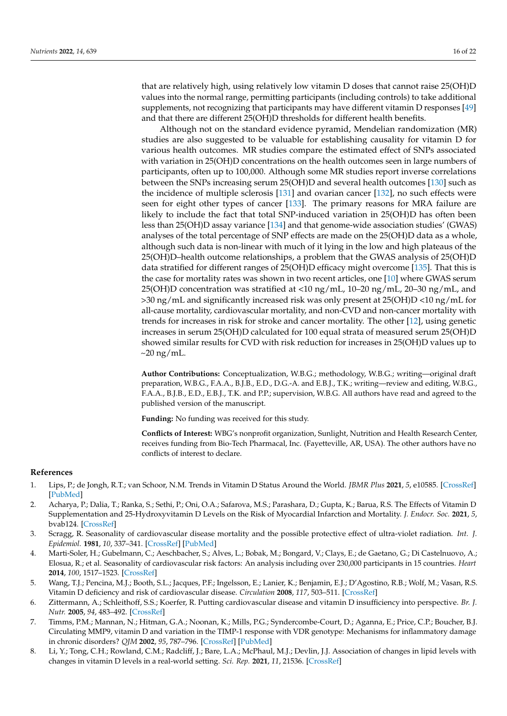that are relatively high, using relatively low vitamin D doses that cannot raise 25(OH)D values into the normal range, permitting participants (including controls) to take additional supplements, not recognizing that participants may have different vitamin D responses [\[49\]](#page-19-12) and that there are different 25(OH)D thresholds for different health benefits.

Although not on the standard evidence pyramid, Mendelian randomization (MR) studies are also suggested to be valuable for establishing causality for vitamin D for various health outcomes. MR studies compare the estimated effect of SNPs associated with variation in 25(OH)D concentrations on the health outcomes seen in large numbers of participants, often up to 100,000. Although some MR studies report inverse correlations between the SNPs increasing serum 25(OH)D and several health outcomes [\[130\]](#page-22-21) such as the incidence of multiple sclerosis [\[131\]](#page-22-22) and ovarian cancer [\[132\]](#page-22-23), no such effects were seen for eight other types of cancer [\[133\]](#page-22-24). The primary reasons for MRA failure are likely to include the fact that total SNP-induced variation in 25(OH)D has often been less than 25(OH)D assay variance [\[134\]](#page-23-0) and that genome-wide association studies' (GWAS) analyses of the total percentage of SNP effects are made on the 25(OH)D data as a whole, although such data is non-linear with much of it lying in the low and high plateaus of the 25(OH)D–health outcome relationships, a problem that the GWAS analysis of 25(OH)D data stratified for different ranges of 25(OH)D efficacy might overcome [\[135\]](#page-23-1). That this is the case for mortality rates was shown in two recent articles, one [\[10\]](#page-18-1) where GWAS serum 25(OH)D concentration was stratified at <10 ng/mL, 10–20 ng/mL, 20–30 ng/mL, and >30 ng/mL and significantly increased risk was only present at 25(OH)D <10 ng/mL for all-cause mortality, cardiovascular mortality, and non-CVD and non-cancer mortality with trends for increases in risk for stroke and cancer mortality. The other [\[12\]](#page-18-3), using genetic increases in serum 25(OH)D calculated for 100 equal strata of measured serum 25(OH)D showed similar results for CVD with risk reduction for increases in 25(OH)D values up to  $\sim$ 20 ng/mL.

**Author Contributions:** Conceptualization, W.B.G.; methodology, W.B.G.; writing—original draft preparation, W.B.G., F.A.A., B.J.B., E.D., D.G.-A. and E.B.J., T.K.; writing—review and editing, W.B.G., F.A.A., B.J.B., E.D., E.B.J., T.K. and P.P.; supervision, W.B.G. All authors have read and agreed to the published version of the manuscript.

**Funding:** No funding was received for this study.

**Conflicts of Interest:** WBG's nonprofit organization, Sunlight, Nutrition and Health Research Center, receives funding from Bio-Tech Pharmacal, Inc. (Fayetteville, AR, USA). The other authors have no conflicts of interest to declare.

#### **References**

- <span id="page-17-0"></span>1. Lips, P.; de Jongh, R.T.; van Schoor, N.M. Trends in Vitamin D Status Around the World. *JBMR Plus* **2021**, *5*, e10585. [\[CrossRef\]](http://doi.org/10.1002/jbm4.10585) [\[PubMed\]](http://www.ncbi.nlm.nih.gov/pubmed/34950837)
- <span id="page-17-1"></span>2. Acharya, P.; Dalia, T.; Ranka, S.; Sethi, P.; Oni, O.A.; Safarova, M.S.; Parashara, D.; Gupta, K.; Barua, R.S. The Effects of Vitamin D Supplementation and 25-Hydroxyvitamin D Levels on the Risk of Myocardial Infarction and Mortality. *J. Endocr. Soc.* **2021**, *5*, bvab124. [\[CrossRef\]](http://doi.org/10.1210/jendso/bvab124)
- <span id="page-17-2"></span>3. Scragg, R. Seasonality of cardiovascular disease mortality and the possible protective effect of ultra-violet radiation. *Int. J. Epidemiol.* **1981**, *10*, 337–341. [\[CrossRef\]](http://doi.org/10.1093/ije/10.4.337) [\[PubMed\]](http://www.ncbi.nlm.nih.gov/pubmed/7327832)
- <span id="page-17-3"></span>4. Marti-Soler, H.; Gubelmann, C.; Aeschbacher, S.; Alves, L.; Bobak, M.; Bongard, V.; Clays, E.; de Gaetano, G.; Di Castelnuovo, A.; Elosua, R.; et al. Seasonality of cardiovascular risk factors: An analysis including over 230,000 participants in 15 countries. *Heart* **2014**, *100*, 1517–1523. [\[CrossRef\]](http://doi.org/10.1136/heartjnl-2014-305623)
- <span id="page-17-4"></span>5. Wang, T.J.; Pencina, M.J.; Booth, S.L.; Jacques, P.F.; Ingelsson, E.; Lanier, K.; Benjamin, E.J.; D'Agostino, R.B.; Wolf, M.; Vasan, R.S. Vitamin D deficiency and risk of cardiovascular disease. *Circulation* **2008**, *117*, 503–511. [\[CrossRef\]](http://doi.org/10.1161/CIRCULATIONAHA.107.706127)
- <span id="page-17-5"></span>6. Zittermann, A.; Schleithoff, S.S.; Koerfer, R. Putting cardiovascular disease and vitamin D insufficiency into perspective. *Br. J. Nutr.* **2005**, *94*, 483–492. [\[CrossRef\]](http://doi.org/10.1079/BJN20051544)
- <span id="page-17-6"></span>7. Timms, P.M.; Mannan, N.; Hitman, G.A.; Noonan, K.; Mills, P.G.; Syndercombe-Court, D.; Aganna, E.; Price, C.P.; Boucher, B.J. Circulating MMP9, vitamin D and variation in the TIMP-1 response with VDR genotype: Mechanisms for inflammatory damage in chronic disorders? *QJM* **2002**, *95*, 787–796. [\[CrossRef\]](http://doi.org/10.1093/qjmed/95.12.787) [\[PubMed\]](http://www.ncbi.nlm.nih.gov/pubmed/12454321)
- <span id="page-17-7"></span>8. Li, Y.; Tong, C.H.; Rowland, C.M.; Radcliff, J.; Bare, L.A.; McPhaul, M.J.; Devlin, J.J. Association of changes in lipid levels with changes in vitamin D levels in a real-world setting. *Sci. Rep.* **2021**, *11*, 21536. [\[CrossRef\]](http://doi.org/10.1038/s41598-021-01064-1)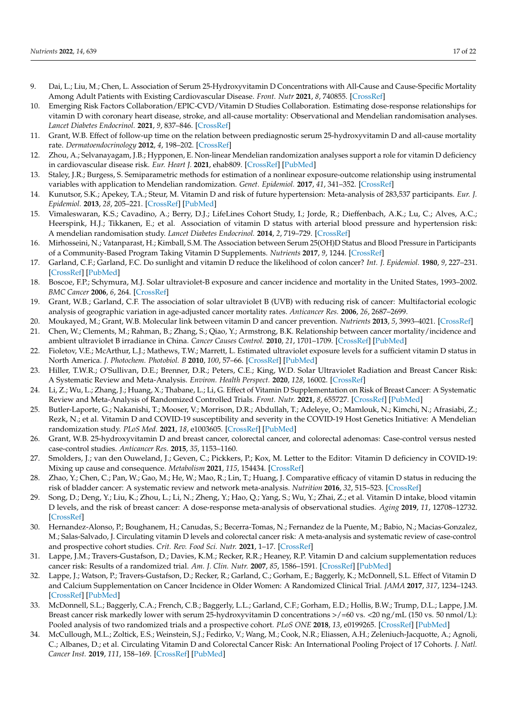- <span id="page-18-0"></span>9. Dai, L.; Liu, M.; Chen, L. Association of Serum 25-Hydroxyvitamin D Concentrations with All-Cause and Cause-Specific Mortality Among Adult Patients with Existing Cardiovascular Disease. *Front. Nutr* **2021**, *8*, 740855. [\[CrossRef\]](http://doi.org/10.3389/fnut.2021.740855)
- <span id="page-18-1"></span>10. Emerging Risk Factors Collaboration/EPIC-CVD/Vitamin D Studies Collaboration. Estimating dose-response relationships for vitamin D with coronary heart disease, stroke, and all-cause mortality: Observational and Mendelian randomisation analyses. *Lancet Diabetes Endocrinol.* **2021**, *9*, 837–846. [\[CrossRef\]](http://doi.org/10.1016/S2213-8587(21)00263-1)
- <span id="page-18-2"></span>11. Grant, W.B. Effect of follow-up time on the relation between prediagnostic serum 25-hydroxyvitamin D and all-cause mortality rate. *Dermatoendocrinology* **2012**, *4*, 198–202. [\[CrossRef\]](http://doi.org/10.4161/derm.20514)
- <span id="page-18-3"></span>12. Zhou, A.; Selvanayagam, J.B.; Hypponen, E. Non-linear Mendelian randomization analyses support a role for vitamin D deficiency in cardiovascular disease risk. *Eur. Heart J.* **2021**, ehab809. [\[CrossRef\]](http://doi.org/10.1093/eurheartj/ehab809) [\[PubMed\]](http://www.ncbi.nlm.nih.gov/pubmed/34891159)
- <span id="page-18-4"></span>13. Staley, J.R.; Burgess, S. Semiparametric methods for estimation of a nonlinear exposure-outcome relationship using instrumental variables with application to Mendelian randomization. *Genet. Epidemiol.* **2017**, *41*, 341–352. [\[CrossRef\]](http://doi.org/10.1002/gepi.22041)
- <span id="page-18-5"></span>14. Kunutsor, S.K.; Apekey, T.A.; Steur, M. Vitamin D and risk of future hypertension: Meta-analysis of 283,537 participants. *Eur. J. Epidemiol.* **2013**, *28*, 205–221. [\[CrossRef\]](http://doi.org/10.1007/s10654-013-9790-2) [\[PubMed\]](http://www.ncbi.nlm.nih.gov/pubmed/23456138)
- <span id="page-18-6"></span>15. Vimaleswaran, K.S.; Cavadino, A.; Berry, D.J.; LifeLines Cohort Study, I.; Jorde, R.; Dieffenbach, A.K.; Lu, C.; Alves, A.C.; Heerspink, H.J.; Tikkanen, E.; et al. Association of vitamin D status with arterial blood pressure and hypertension risk: A mendelian randomisation study. *Lancet Diabetes Endocrinol.* **2014**, *2*, 719–729. [\[CrossRef\]](http://doi.org/10.1016/S2213-8587(14)70113-5)
- <span id="page-18-7"></span>16. Mirhosseini, N.; Vatanparast, H.; Kimball, S.M. The Association between Serum 25(OH)D Status and Blood Pressure in Participants of a Community-Based Program Taking Vitamin D Supplements. *Nutrients* **2017**, *9*, 1244. [\[CrossRef\]](http://doi.org/10.3390/nu9111244)
- <span id="page-18-8"></span>17. Garland, C.F.; Garland, F.C. Do sunlight and vitamin D reduce the likelihood of colon cancer? *Int. J. Epidemiol.* **1980**, *9*, 227–231. [\[CrossRef\]](http://doi.org/10.1093/ije/9.3.227) [\[PubMed\]](http://www.ncbi.nlm.nih.gov/pubmed/7440046)
- <span id="page-18-9"></span>18. Boscoe, F.P.; Schymura, M.J. Solar ultraviolet-B exposure and cancer incidence and mortality in the United States, 1993–2002. *BMC Cancer* **2006**, *6*, 264. [\[CrossRef\]](http://doi.org/10.1186/1471-2407-6-264)
- <span id="page-18-13"></span>19. Grant, W.B.; Garland, C.F. The association of solar ultraviolet B (UVB) with reducing risk of cancer: Multifactorial ecologic analysis of geographic variation in age-adjusted cancer mortality rates. *Anticancer Res.* **2006**, *26*, 2687–2699.
- <span id="page-18-10"></span>20. Moukayed, M.; Grant, W.B. Molecular link between vitamin D and cancer prevention. *Nutrients* **2013**, *5*, 3993–4021. [\[CrossRef\]](http://doi.org/10.3390/nu5103993)
- <span id="page-18-11"></span>21. Chen, W.; Clements, M.; Rahman, B.; Zhang, S.; Qiao, Y.; Armstrong, B.K. Relationship between cancer mortality/incidence and ambient ultraviolet B irradiance in China. *Cancer Causes Control.* **2010**, *21*, 1701–1709. [\[CrossRef\]](http://doi.org/10.1007/s10552-010-9599-1) [\[PubMed\]](http://www.ncbi.nlm.nih.gov/pubmed/20552265)
- <span id="page-18-12"></span>22. Fioletov, V.E.; McArthur, L.J.; Mathews, T.W.; Marrett, L. Estimated ultraviolet exposure levels for a sufficient vitamin D status in North America. *J. Photochem. Photobiol. B* **2010**, *100*, 57–66. [\[CrossRef\]](http://doi.org/10.1016/j.jphotobiol.2010.05.002) [\[PubMed\]](http://www.ncbi.nlm.nih.gov/pubmed/20554218)
- <span id="page-18-14"></span>23. Hiller, T.W.R.; O'Sullivan, D.E.; Brenner, D.R.; Peters, C.E.; King, W.D. Solar Ultraviolet Radiation and Breast Cancer Risk: A Systematic Review and Meta-Analysis. *Environ. Health Perspect.* **2020**, *128*, 16002. [\[CrossRef\]](http://doi.org/10.1289/EHP4861)
- <span id="page-18-15"></span>24. Li, Z.; Wu, L.; Zhang, J.; Huang, X.; Thabane, L.; Li, G. Effect of Vitamin D Supplementation on Risk of Breast Cancer: A Systematic Review and Meta-Analysis of Randomized Controlled Trials. *Front. Nutr.* **2021**, *8*, 655727. [\[CrossRef\]](http://doi.org/10.3389/fnut.2021.655727) [\[PubMed\]](http://www.ncbi.nlm.nih.gov/pubmed/33869269)
- <span id="page-18-16"></span>25. Butler-Laporte, G.; Nakanishi, T.; Mooser, V.; Morrison, D.R.; Abdullah, T.; Adeleye, O.; Mamlouk, N.; Kimchi, N.; Afrasiabi, Z.; Rezk, N.; et al. Vitamin D and COVID-19 susceptibility and severity in the COVID-19 Host Genetics Initiative: A Mendelian randomization study. *PLoS Med.* **2021**, *18*, e1003605. [\[CrossRef\]](http://doi.org/10.1371/journal.pmed.1003605) [\[PubMed\]](http://www.ncbi.nlm.nih.gov/pubmed/34061844)
- <span id="page-18-17"></span>26. Grant, W.B. 25-hydroxyvitamin D and breast cancer, colorectal cancer, and colorectal adenomas: Case-control versus nested case-control studies. *Anticancer Res.* **2015**, *35*, 1153–1160.
- <span id="page-18-18"></span>27. Smolders, J.; van den Ouweland, J.; Geven, C.; Pickkers, P.; Kox, M. Letter to the Editor: Vitamin D deficiency in COVID-19: Mixing up cause and consequence. *Metabolism* **2021**, *115*, 154434. [\[CrossRef\]](http://doi.org/10.1016/j.metabol.2020.154434)
- <span id="page-18-19"></span>28. Zhao, Y.; Chen, C.; Pan, W.; Gao, M.; He, W.; Mao, R.; Lin, T.; Huang, J. Comparative efficacy of vitamin D status in reducing the risk of bladder cancer: A systematic review and network meta-analysis. *Nutrition* **2016**, *32*, 515–523. [\[CrossRef\]](http://doi.org/10.1016/j.nut.2015.10.023)
- <span id="page-18-20"></span>29. Song, D.; Deng, Y.; Liu, K.; Zhou, L.; Li, N.; Zheng, Y.; Hao, Q.; Yang, S.; Wu, Y.; Zhai, Z.; et al. Vitamin D intake, blood vitamin D levels, and the risk of breast cancer: A dose-response meta-analysis of observational studies. *Aging* **2019**, *11*, 12708–12732. [\[CrossRef\]](http://doi.org/10.18632/aging.102597)
- <span id="page-18-21"></span>30. Hernandez-Alonso, P.; Boughanem, H.; Canudas, S.; Becerra-Tomas, N.; Fernandez de la Puente, M.; Babio, N.; Macias-Gonzalez, M.; Salas-Salvado, J. Circulating vitamin D levels and colorectal cancer risk: A meta-analysis and systematic review of case-control and prospective cohort studies. *Crit. Rev. Food Sci. Nutr.* **2021**, 1–17. [\[CrossRef\]](http://doi.org/10.1080/10408398.2021.1939649)
- <span id="page-18-22"></span>31. Lappe, J.M.; Travers-Gustafson, D.; Davies, K.M.; Recker, R.R.; Heaney, R.P. Vitamin D and calcium supplementation reduces cancer risk: Results of a randomized trial. *Am. J. Clin. Nutr.* **2007**, *85*, 1586–1591. [\[CrossRef\]](http://doi.org/10.1093/ajcn/85.6.1586) [\[PubMed\]](http://www.ncbi.nlm.nih.gov/pubmed/17556697)
- <span id="page-18-23"></span>32. Lappe, J.; Watson, P.; Travers-Gustafson, D.; Recker, R.; Garland, C.; Gorham, E.; Baggerly, K.; McDonnell, S.L. Effect of Vitamin D and Calcium Supplementation on Cancer Incidence in Older Women: A Randomized Clinical Trial. *JAMA* **2017**, *317*, 1234–1243. [\[CrossRef\]](http://doi.org/10.1001/jama.2017.2115) [\[PubMed\]](http://www.ncbi.nlm.nih.gov/pubmed/28350929)
- <span id="page-18-24"></span>33. McDonnell, S.L.; Baggerly, C.A.; French, C.B.; Baggerly, L.L.; Garland, C.F.; Gorham, E.D.; Hollis, B.W.; Trump, D.L.; Lappe, J.M. Breast cancer risk markedly lower with serum 25-hydroxyvitamin D concentrations  $\frac{>}{=}60$  vs. <20 ng/mL (150 vs. 50 nmol/L): Pooled analysis of two randomized trials and a prospective cohort. *PLoS ONE* **2018**, *13*, e0199265. [\[CrossRef\]](http://doi.org/10.1371/journal.pone.0199265) [\[PubMed\]](http://www.ncbi.nlm.nih.gov/pubmed/29906273)
- <span id="page-18-25"></span>34. McCullough, M.L.; Zoltick, E.S.; Weinstein, S.J.; Fedirko, V.; Wang, M.; Cook, N.R.; Eliassen, A.H.; Zeleniuch-Jacquotte, A.; Agnoli, C.; Albanes, D.; et al. Circulating Vitamin D and Colorectal Cancer Risk: An International Pooling Project of 17 Cohorts. *J. Natl. Cancer Inst.* **2019**, *111*, 158–169. [\[CrossRef\]](http://doi.org/10.1093/jnci/djy087) [\[PubMed\]](http://www.ncbi.nlm.nih.gov/pubmed/29912394)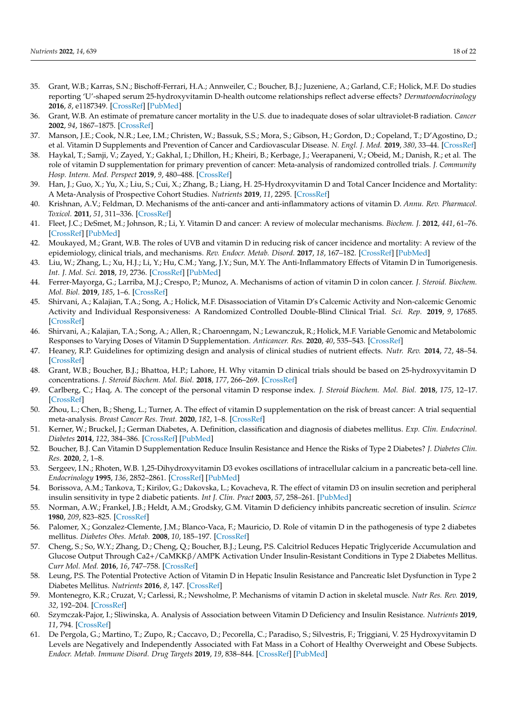- <span id="page-19-0"></span>35. Grant, W.B.; Karras, S.N.; Bischoff-Ferrari, H.A.; Annweiler, C.; Boucher, B.J.; Juzeniene, A.; Garland, C.F.; Holick, M.F. Do studies reporting 'U'-shaped serum 25-hydroxyvitamin D-health outcome relationships reflect adverse effects? *Dermatoendocrinology* **2016**, *8*, e1187349. [\[CrossRef\]](http://doi.org/10.1080/19381980.2016.1187349) [\[PubMed\]](http://www.ncbi.nlm.nih.gov/pubmed/27489574)
- <span id="page-19-1"></span>36. Grant, W.B. An estimate of premature cancer mortality in the U.S. due to inadequate doses of solar ultraviolet-B radiation. *Cancer* **2002**, *94*, 1867–1875. [\[CrossRef\]](http://doi.org/10.1002/cncr.10427)
- <span id="page-19-2"></span>37. Manson, J.E.; Cook, N.R.; Lee, I.M.; Christen, W.; Bassuk, S.S.; Mora, S.; Gibson, H.; Gordon, D.; Copeland, T.; D'Agostino, D.; et al. Vitamin D Supplements and Prevention of Cancer and Cardiovascular Disease. *N. Engl. J. Med.* **2019**, *380*, 33–44. [\[CrossRef\]](http://doi.org/10.1056/NEJMoa1809944)
- <span id="page-19-3"></span>38. Haykal, T.; Samji, V.; Zayed, Y.; Gakhal, I.; Dhillon, H.; Kheiri, B.; Kerbage, J.; Veerapaneni, V.; Obeid, M.; Danish, R.; et al. The role of vitamin D supplementation for primary prevention of cancer: Meta-analysis of randomized controlled trials. *J. Community Hosp. Intern. Med. Perspect* **2019**, *9*, 480–488. [\[CrossRef\]](http://doi.org/10.1080/20009666.2019.1701839)
- <span id="page-19-4"></span>39. Han, J.; Guo, X.; Yu, X.; Liu, S.; Cui, X.; Zhang, B.; Liang, H. 25-Hydroxyvitamin D and Total Cancer Incidence and Mortality: A Meta-Analysis of Prospective Cohort Studies. *Nutrients* **2019**, *11*, 2295. [\[CrossRef\]](http://doi.org/10.3390/nu11102295)
- <span id="page-19-5"></span>40. Krishnan, A.V.; Feldman, D. Mechanisms of the anti-cancer and anti-inflammatory actions of vitamin D. *Annu. Rev. Pharmacol. Toxicol.* **2011**, *51*, 311–336. [\[CrossRef\]](http://doi.org/10.1146/annurev-pharmtox-010510-100611)
- 41. Fleet, J.C.; DeSmet, M.; Johnson, R.; Li, Y. Vitamin D and cancer: A review of molecular mechanisms. *Biochem. J.* **2012**, *441*, 61–76. [\[CrossRef\]](http://doi.org/10.1042/BJ20110744) [\[PubMed\]](http://www.ncbi.nlm.nih.gov/pubmed/22168439)
- 42. Moukayed, M.; Grant, W.B. The roles of UVB and vitamin D in reducing risk of cancer incidence and mortality: A review of the epidemiology, clinical trials, and mechanisms. *Rev. Endocr. Metab. Disord.* **2017**, *18*, 167–182. [\[CrossRef\]](http://doi.org/10.1007/s11154-017-9415-2) [\[PubMed\]](http://www.ncbi.nlm.nih.gov/pubmed/28213657)
- <span id="page-19-6"></span>43. Liu, W.; Zhang, L.; Xu, H.J.; Li, Y.; Hu, C.M.; Yang, J.Y.; Sun, M.Y. The Anti-Inflammatory Effects of Vitamin D in Tumorigenesis. *Int. J. Mol. Sci.* **2018**, *19*, 2736. [\[CrossRef\]](http://doi.org/10.3390/ijms19092736) [\[PubMed\]](http://www.ncbi.nlm.nih.gov/pubmed/30216977)
- <span id="page-19-7"></span>44. Ferrer-Mayorga, G.; Larriba, M.J.; Crespo, P.; Munoz, A. Mechanisms of action of vitamin D in colon cancer. *J. Steroid. Biochem. Mol. Biol.* **2019**, *185*, 1–6. [\[CrossRef\]](http://doi.org/10.1016/j.jsbmb.2018.07.002)
- <span id="page-19-8"></span>45. Shirvani, A.; Kalajian, T.A.; Song, A.; Holick, M.F. Disassociation of Vitamin D's Calcemic Activity and Non-calcemic Genomic Activity and Individual Responsiveness: A Randomized Controlled Double-Blind Clinical Trial. *Sci. Rep.* **2019**, *9*, 17685. [\[CrossRef\]](http://doi.org/10.1038/s41598-019-53864-1)
- <span id="page-19-9"></span>46. Shirvani, A.; Kalajian, T.A.; Song, A.; Allen, R.; Charoenngam, N.; Lewanczuk, R.; Holick, M.F. Variable Genomic and Metabolomic Responses to Varying Doses of Vitamin D Supplementation. *Anticancer. Res.* **2020**, *40*, 535–543. [\[CrossRef\]](http://doi.org/10.21873/anticanres.13982)
- <span id="page-19-10"></span>47. Heaney, R.P. Guidelines for optimizing design and analysis of clinical studies of nutrient effects. *Nutr. Rev.* **2014**, *72*, 48–54. [\[CrossRef\]](http://doi.org/10.1111/nure.12090)
- <span id="page-19-11"></span>48. Grant, W.B.; Boucher, B.J.; Bhattoa, H.P.; Lahore, H. Why vitamin D clinical trials should be based on 25-hydroxyvitamin D concentrations. *J. Steroid Biochem. Mol. Biol.* **2018**, *177*, 266–269. [\[CrossRef\]](http://doi.org/10.1016/j.jsbmb.2017.08.009)
- <span id="page-19-12"></span>49. Carlberg, C.; Haq, A. The concept of the personal vitamin D response index. *J. Steroid Biochem. Mol. Biol.* **2018**, *175*, 12–17. [\[CrossRef\]](http://doi.org/10.1016/j.jsbmb.2016.12.011)
- <span id="page-19-13"></span>50. Zhou, L.; Chen, B.; Sheng, L.; Turner, A. The effect of vitamin D supplementation on the risk of breast cancer: A trial sequential meta-analysis. *Breast Cancer Res. Treat.* **2020**, *182*, 1–8. [\[CrossRef\]](http://doi.org/10.1007/s10549-020-05669-4)
- <span id="page-19-14"></span>51. Kerner, W.; Bruckel, J.; German Diabetes, A. Definition, classification and diagnosis of diabetes mellitus. *Exp. Clin. Endocrinol. Diabetes* **2014**, *122*, 384–386. [\[CrossRef\]](http://doi.org/10.1055/s-0034-1366278) [\[PubMed\]](http://www.ncbi.nlm.nih.gov/pubmed/25014088)
- <span id="page-19-15"></span>52. Boucher, B.J. Can Vitamin D Supplementation Reduce Insulin Resistance and Hence the Risks of Type 2 Diabetes? *J. Diabetes Clin. Res.* **2020**, *2*, 1–8.
- <span id="page-19-16"></span>53. Sergeev, I.N.; Rhoten, W.B. 1,25-Dihydroxyvitamin D3 evokes oscillations of intracellular calcium in a pancreatic beta-cell line. *Endocrinology* **1995**, *136*, 2852–2861. [\[CrossRef\]](http://doi.org/10.1210/endo.136.7.7789310) [\[PubMed\]](http://www.ncbi.nlm.nih.gov/pubmed/7789310)
- <span id="page-19-17"></span>54. Borissova, A.M.; Tankova, T.; Kirilov, G.; Dakovska, L.; Kovacheva, R. The effect of vitamin D3 on insulin secretion and peripheral insulin sensitivity in type 2 diabetic patients. *Int J. Clin. Pract* **2003**, *57*, 258–261. [\[PubMed\]](http://www.ncbi.nlm.nih.gov/pubmed/12800453)
- <span id="page-19-18"></span>55. Norman, A.W.; Frankel, J.B.; Heldt, A.M.; Grodsky, G.M. Vitamin D deficiency inhibits pancreatic secretion of insulin. *Science* **1980**, *209*, 823–825. [\[CrossRef\]](http://doi.org/10.1126/science.6250216)
- <span id="page-19-19"></span>56. Palomer, X.; Gonzalez-Clemente, J.M.; Blanco-Vaca, F.; Mauricio, D. Role of vitamin D in the pathogenesis of type 2 diabetes mellitus. *Diabetes Obes. Metab.* **2008**, *10*, 185–197. [\[CrossRef\]](http://doi.org/10.1111/j.1463-1326.2007.00710.x)
- <span id="page-19-20"></span>57. Cheng, S.; So, W.Y.; Zhang, D.; Cheng, Q.; Boucher, B.J.; Leung, P.S. Calcitriol Reduces Hepatic Triglyceride Accumulation and Glucose Output Through Ca2+/CaMKKβ/AMPK Activation Under Insulin-Resistant Conditions in Type 2 Diabetes Mellitus. *Curr Mol. Med.* **2016**, *16*, 747–758. [\[CrossRef\]](http://doi.org/10.2174/1566524016666160920111407)
- <span id="page-19-21"></span>58. Leung, P.S. The Potential Protective Action of Vitamin D in Hepatic Insulin Resistance and Pancreatic Islet Dysfunction in Type 2 Diabetes Mellitus. *Nutrients* **2016**, *8*, 147. [\[CrossRef\]](http://doi.org/10.3390/nu8030147)
- <span id="page-19-22"></span>59. Montenegro, K.R.; Cruzat, V.; Carlessi, R.; Newsholme, P. Mechanisms of vitamin D action in skeletal muscle. *Nutr Res. Rev.* **2019**, *32*, 192–204. [\[CrossRef\]](http://doi.org/10.1017/S0954422419000064)
- <span id="page-19-23"></span>60. Szymczak-Pajor, I.; Sliwinska, A. Analysis of Association between Vitamin D Deficiency and Insulin Resistance. *Nutrients* **2019**, *11*, 794. [\[CrossRef\]](http://doi.org/10.3390/nu11040794)
- <span id="page-19-24"></span>61. De Pergola, G.; Martino, T.; Zupo, R.; Caccavo, D.; Pecorella, C.; Paradiso, S.; Silvestris, F.; Triggiani, V. 25 Hydroxyvitamin D Levels are Negatively and Independently Associated with Fat Mass in a Cohort of Healthy Overweight and Obese Subjects. *Endocr. Metab. Immune Disord. Drug Targets* **2019**, *19*, 838–844. [\[CrossRef\]](http://doi.org/10.2174/1871530319666190122094039) [\[PubMed\]](http://www.ncbi.nlm.nih.gov/pubmed/30666920)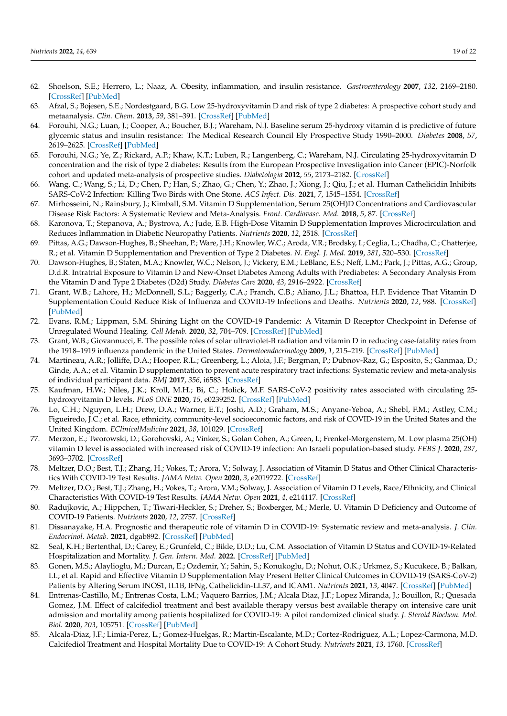- <span id="page-20-0"></span>62. Shoelson, S.E.; Herrero, L.; Naaz, A. Obesity, inflammation, and insulin resistance. *Gastroenterology* **2007**, *132*, 2169–2180. [\[CrossRef\]](http://doi.org/10.1053/j.gastro.2007.03.059) [\[PubMed\]](http://www.ncbi.nlm.nih.gov/pubmed/17498510)
- <span id="page-20-1"></span>63. Afzal, S.; Bojesen, S.E.; Nordestgaard, B.G. Low 25-hydroxyvitamin D and risk of type 2 diabetes: A prospective cohort study and metaanalysis. *Clin. Chem.* **2013**, *59*, 381–391. [\[CrossRef\]](http://doi.org/10.1373/clinchem.2012.193003) [\[PubMed\]](http://www.ncbi.nlm.nih.gov/pubmed/23232064)
- <span id="page-20-2"></span>64. Forouhi, N.G.; Luan, J.; Cooper, A.; Boucher, B.J.; Wareham, N.J. Baseline serum 25-hydroxy vitamin d is predictive of future glycemic status and insulin resistance: The Medical Research Council Ely Prospective Study 1990–2000. *Diabetes* **2008**, *57*, 2619–2625. [\[CrossRef\]](http://doi.org/10.2337/db08-0593) [\[PubMed\]](http://www.ncbi.nlm.nih.gov/pubmed/18591391)
- <span id="page-20-3"></span>65. Forouhi, N.G.; Ye, Z.; Rickard, A.P.; Khaw, K.T.; Luben, R.; Langenberg, C.; Wareham, N.J. Circulating 25-hydroxyvitamin D concentration and the risk of type 2 diabetes: Results from the European Prospective Investigation into Cancer (EPIC)-Norfolk cohort and updated meta-analysis of prospective studies. *Diabetologia* **2012**, *55*, 2173–2182. [\[CrossRef\]](http://doi.org/10.1007/s00125-012-2544-y)
- <span id="page-20-4"></span>66. Wang, C.; Wang, S.; Li, D.; Chen, P.; Han, S.; Zhao, G.; Chen, Y.; Zhao, J.; Xiong, J.; Qiu, J.; et al. Human Cathelicidin Inhibits SARS-CoV-2 Infection: Killing Two Birds with One Stone. *ACS Infect. Dis.* **2021**, *7*, 1545–1554. [\[CrossRef\]](http://doi.org/10.1021/acsinfecdis.1c00096)
- <span id="page-20-5"></span>67. Mirhosseini, N.; Rainsbury, J.; Kimball, S.M. Vitamin D Supplementation, Serum 25(OH)D Concentrations and Cardiovascular Disease Risk Factors: A Systematic Review and Meta-Analysis. *Front. Cardiovasc. Med.* **2018**, *5*, 87. [\[CrossRef\]](http://doi.org/10.3389/fcvm.2018.00087)
- <span id="page-20-6"></span>68. Karonova, T.; Stepanova, A.; Bystrova, A.; Jude, E.B. High-Dose Vitamin D Supplementation Improves Microcirculation and Reduces Inflammation in Diabetic Neuropathy Patients. *Nutrients* **2020**, *12*, 2518. [\[CrossRef\]](http://doi.org/10.3390/nu12092518)
- <span id="page-20-7"></span>69. Pittas, A.G.; Dawson-Hughes, B.; Sheehan, P.; Ware, J.H.; Knowler, W.C.; Aroda, V.R.; Brodsky, I.; Ceglia, L.; Chadha, C.; Chatterjee, R.; et al. Vitamin D Supplementation and Prevention of Type 2 Diabetes. *N. Engl. J. Med.* **2019**, *381*, 520–530. [\[CrossRef\]](http://doi.org/10.1056/NEJMoa1900906)
- <span id="page-20-8"></span>70. Dawson-Hughes, B.; Staten, M.A.; Knowler, W.C.; Nelson, J.; Vickery, E.M.; LeBlanc, E.S.; Neff, L.M.; Park, J.; Pittas, A.G.; Group, D.d.R. Intratrial Exposure to Vitamin D and New-Onset Diabetes Among Adults with Prediabetes: A Secondary Analysis From the Vitamin D and Type 2 Diabetes (D2d) Study. *Diabetes Care* **2020**, *43*, 2916–2922. [\[CrossRef\]](http://doi.org/10.2337/dc20-1765)
- <span id="page-20-9"></span>71. Grant, W.B.; Lahore, H.; McDonnell, S.L.; Baggerly, C.A.; Franch, C.B.; Aliano, J.L.; Bhattoa, H.P. Evidence That Vitamin D Supplementation Could Reduce Risk of Influenza and COVID-19 Infections and Deaths. *Nutrients* **2020**, *12*, 988. [\[CrossRef\]](http://doi.org/10.3390/nu12040988) [\[PubMed\]](http://www.ncbi.nlm.nih.gov/pubmed/32252338)
- <span id="page-20-10"></span>72. Evans, R.M.; Lippman, S.M. Shining Light on the COVID-19 Pandemic: A Vitamin D Receptor Checkpoint in Defense of Unregulated Wound Healing. *Cell Metab.* **2020**, *32*, 704–709. [\[CrossRef\]](http://doi.org/10.1016/j.cmet.2020.09.007) [\[PubMed\]](http://www.ncbi.nlm.nih.gov/pubmed/32941797)
- <span id="page-20-11"></span>73. Grant, W.B.; Giovannucci, E. The possible roles of solar ultraviolet-B radiation and vitamin D in reducing case-fatality rates from the 1918–1919 influenza pandemic in the United States. *Dermatoendocrinology* **2009**, *1*, 215–219. [\[CrossRef\]](http://doi.org/10.4161/derm.1.4.9063) [\[PubMed\]](http://www.ncbi.nlm.nih.gov/pubmed/20592793)
- <span id="page-20-12"></span>74. Martineau, A.R.; Jolliffe, D.A.; Hooper, R.L.; Greenberg, L.; Aloia, J.F.; Bergman, P.; Dubnov-Raz, G.; Esposito, S.; Ganmaa, D.; Ginde, A.A.; et al. Vitamin D supplementation to prevent acute respiratory tract infections: Systematic review and meta-analysis of individual participant data. *BMJ* **2017**, *356*, i6583. [\[CrossRef\]](http://doi.org/10.1136/bmj.i6583)
- <span id="page-20-13"></span>75. Kaufman, H.W.; Niles, J.K.; Kroll, M.H.; Bi, C.; Holick, M.F. SARS-CoV-2 positivity rates associated with circulating 25 hydroxyvitamin D levels. *PLoS ONE* **2020**, *15*, e0239252. [\[CrossRef\]](http://doi.org/10.1371/journal.pone.0239252) [\[PubMed\]](http://www.ncbi.nlm.nih.gov/pubmed/32941512)
- <span id="page-20-14"></span>76. Lo, C.H.; Nguyen, L.H.; Drew, D.A.; Warner, E.T.; Joshi, A.D.; Graham, M.S.; Anyane-Yeboa, A.; Shebl, F.M.; Astley, C.M.; Figueiredo, J.C.; et al. Race, ethnicity, community-level socioeconomic factors, and risk of COVID-19 in the United States and the United Kingdom. *EClinicalMedicine* **2021**, *38*, 101029. [\[CrossRef\]](http://doi.org/10.1016/j.eclinm.2021.101029)
- <span id="page-20-15"></span>77. Merzon, E.; Tworowski, D.; Gorohovski, A.; Vinker, S.; Golan Cohen, A.; Green, I.; Frenkel-Morgenstern, M. Low plasma 25(OH) vitamin D level is associated with increased risk of COVID-19 infection: An Israeli population-based study. *FEBS J.* **2020**, *287*, 3693–3702. [\[CrossRef\]](http://doi.org/10.1111/febs.15495)
- <span id="page-20-16"></span>78. Meltzer, D.O.; Best, T.J.; Zhang, H.; Vokes, T.; Arora, V.; Solway, J. Association of Vitamin D Status and Other Clinical Characteristics With COVID-19 Test Results. *JAMA Netw. Open* **2020**, *3*, e2019722. [\[CrossRef\]](http://doi.org/10.1001/jamanetworkopen.2020.19722)
- <span id="page-20-17"></span>79. Meltzer, D.O.; Best, T.J.; Zhang, H.; Vokes, T.; Arora, V.M.; Solway, J. Association of Vitamin D Levels, Race/Ethnicity, and Clinical Characteristics With COVID-19 Test Results. *JAMA Netw. Open* **2021**, *4*, e214117. [\[CrossRef\]](http://doi.org/10.1001/jamanetworkopen.2021.4117)
- <span id="page-20-18"></span>80. Radujkovic, A.; Hippchen, T.; Tiwari-Heckler, S.; Dreher, S.; Boxberger, M.; Merle, U. Vitamin D Deficiency and Outcome of COVID-19 Patients. *Nutrients* **2020**, *12*, 2757. [\[CrossRef\]](http://doi.org/10.3390/nu12092757)
- <span id="page-20-19"></span>81. Dissanayake, H.A. Prognostic and therapeutic role of vitamin D in COVID-19: Systematic review and meta-analysis. *J. Clin. Endocrinol. Metab.* **2021**, dgab892. [\[CrossRef\]](http://doi.org/10.1210/clinem/dgab892) [\[PubMed\]](http://www.ncbi.nlm.nih.gov/pubmed/34894254)
- <span id="page-20-20"></span>82. Seal, K.H.; Bertenthal, D.; Carey, E.; Grunfeld, C.; Bikle, D.D.; Lu, C.M. Association of Vitamin D Status and COVID-19-Related Hospitalization and Mortality. *J. Gen. Intern. Med.* **2022**. [\[CrossRef\]](http://doi.org/10.1007/s11606-021-07170-0) [\[PubMed\]](http://www.ncbi.nlm.nih.gov/pubmed/34981368)
- <span id="page-20-21"></span>83. Gonen, M.S.; Alaylioglu, M.; Durcan, E.; Ozdemir, Y.; Sahin, S.; Konukoglu, D.; Nohut, O.K.; Urkmez, S.; Kucukece, B.; Balkan, I.I.; et al. Rapid and Effective Vitamin D Supplementation May Present Better Clinical Outcomes in COVID-19 (SARS-CoV-2) Patients by Altering Serum INOS1, IL1B, IFNg, Cathelicidin-LL37, and ICAM1. *Nutrients* **2021**, *13*, 4047. [\[CrossRef\]](http://doi.org/10.3390/nu13114047) [\[PubMed\]](http://www.ncbi.nlm.nih.gov/pubmed/34836309)
- <span id="page-20-22"></span>84. Entrenas-Castillo, M.; Entrenas Costa, L.M.; Vaquero Barrios, J.M.; Alcala Diaz, J.F.; Lopez Miranda, J.; Bouillon, R.; Quesada Gomez, J.M. Effect of calcifediol treatment and best available therapy versus best available therapy on intensive care unit admission and mortality among patients hospitalized for COVID-19: A pilot randomized clinical study. *J. Steroid Biochem. Mol. Biol.* **2020**, *203*, 105751. [\[CrossRef\]](http://doi.org/10.1016/j.jsbmb.2020.105751) [\[PubMed\]](http://www.ncbi.nlm.nih.gov/pubmed/32871238)
- <span id="page-20-23"></span>85. Alcala-Diaz, J.F.; Limia-Perez, L.; Gomez-Huelgas, R.; Martin-Escalante, M.D.; Cortez-Rodriguez, A.L.; Lopez-Carmona, M.D. Calcifediol Treatment and Hospital Mortality Due to COVID-19: A Cohort Study. *Nutrients* **2021**, *13*, 1760. [\[CrossRef\]](http://doi.org/10.3390/nu13061760)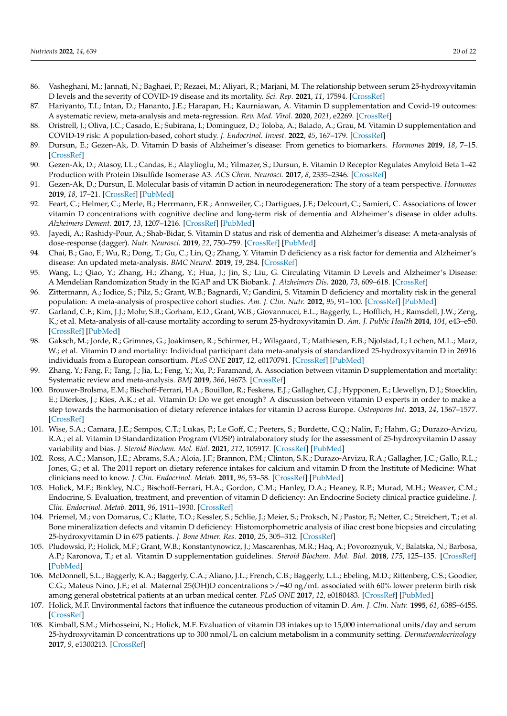- <span id="page-21-0"></span>86. Vasheghani, M.; Jannati, N.; Baghaei, P.; Rezaei, M.; Aliyari, R.; Marjani, M. The relationship between serum 25-hydroxyvitamin D levels and the severity of COVID-19 disease and its mortality. *Sci. Rep.* **2021**, *11*, 17594. [\[CrossRef\]](http://doi.org/10.1038/s41598-021-97017-9)
- <span id="page-21-1"></span>87. Hariyanto, T.I.; Intan, D.; Hananto, J.E.; Harapan, H.; Kaurniawan, A. Vitamin D supplementation and Covid-19 outcomes: A systematic review, meta-analysis and meta-regression. *Rev. Med. Virol.* **2020**, *2021*, e2269. [\[CrossRef\]](http://doi.org/10.1002/rmv.2269)
- <span id="page-21-2"></span>88. Oristrell, J.; Oliva, J.C.; Casado, E.; Subirana, I.; Dominguez, D.; Toloba, A.; Balado, A.; Grau, M. Vitamin D supplementation and COVID-19 risk: A population-based, cohort study. *J. Endocrinol. Invest.* **2022**, *45*, 167–179. [\[CrossRef\]](http://doi.org/10.1007/s40618-021-01639-9)
- <span id="page-21-3"></span>89. Dursun, E.; Gezen-Ak, D. Vitamin D basis of Alzheimer's disease: From genetics to biomarkers. *Hormones* **2019**, *18*, 7–15. [\[CrossRef\]](http://doi.org/10.1007/s42000-018-0086-5)
- 90. Gezen-Ak, D.; Atasoy, I.L.; Candas, E.; Alaylioglu, M.; Yilmazer, S.; Dursun, E. Vitamin D Receptor Regulates Amyloid Beta 1–42 Production with Protein Disulfide Isomerase A3. *ACS Chem. Neurosci.* **2017**, *8*, 2335–2346. [\[CrossRef\]](http://doi.org/10.1021/acschemneuro.7b00245)
- <span id="page-21-4"></span>91. Gezen-Ak, D.; Dursun, E. Molecular basis of vitamin D action in neurodegeneration: The story of a team perspective. *Hormones* **2019**, *18*, 17–21. [\[CrossRef\]](http://doi.org/10.1007/s42000-018-0087-4) [\[PubMed\]](http://www.ncbi.nlm.nih.gov/pubmed/30484097)
- <span id="page-21-5"></span>92. Feart, C.; Helmer, C.; Merle, B.; Herrmann, F.R.; Annweiler, C.; Dartigues, J.F.; Delcourt, C.; Samieri, C. Associations of lower vitamin D concentrations with cognitive decline and long-term risk of dementia and Alzheimer's disease in older adults. *Alzheimers Dement.* **2017**, *13*, 1207–1216. [\[CrossRef\]](http://doi.org/10.1016/j.jalz.2017.03.003) [\[PubMed\]](http://www.ncbi.nlm.nih.gov/pubmed/28522216)
- <span id="page-21-6"></span>93. Jayedi, A.; Rashidy-Pour, A.; Shab-Bidar, S. Vitamin D status and risk of dementia and Alzheimer's disease: A meta-analysis of dose-response (dagger). *Nutr. Neurosci.* **2019**, *22*, 750–759. [\[CrossRef\]](http://doi.org/10.1080/1028415X.2018.1436639) [\[PubMed\]](http://www.ncbi.nlm.nih.gov/pubmed/29447107)
- <span id="page-21-7"></span>94. Chai, B.; Gao, F.; Wu, R.; Dong, T.; Gu, C.; Lin, Q.; Zhang, Y. Vitamin D deficiency as a risk factor for dementia and Alzheimer's disease: An updated meta-analysis. *BMC Neurol.* **2019**, *19*, 284. [\[CrossRef\]](http://doi.org/10.1186/s12883-019-1500-6)
- <span id="page-21-8"></span>95. Wang, L.; Qiao, Y.; Zhang, H.; Zhang, Y.; Hua, J.; Jin, S.; Liu, G. Circulating Vitamin D Levels and Alzheimer's Disease: A Mendelian Randomization Study in the IGAP and UK Biobank. *J. Alzheimers Dis.* **2020**, *73*, 609–618. [\[CrossRef\]](http://doi.org/10.3233/JAD-190713)
- <span id="page-21-9"></span>96. Zittermann, A.; Iodice, S.; Pilz, S.; Grant, W.B.; Bagnardi, V.; Gandini, S. Vitamin D deficiency and mortality risk in the general population: A meta-analysis of prospective cohort studies. *Am. J. Clin. Nutr.* **2012**, *95*, 91–100. [\[CrossRef\]](http://doi.org/10.3945/ajcn.111.014779) [\[PubMed\]](http://www.ncbi.nlm.nih.gov/pubmed/22170374)
- <span id="page-21-10"></span>97. Garland, C.F.; Kim, J.J.; Mohr, S.B.; Gorham, E.D.; Grant, W.B.; Giovannucci, E.L.; Baggerly, L.; Hofflich, H.; Ramsdell, J.W.; Zeng, K.; et al. Meta-analysis of all-cause mortality according to serum 25-hydroxyvitamin D. *Am. J. Public Health* **2014**, *104*, e43–e50. [\[CrossRef\]](http://doi.org/10.2105/AJPH.2014.302034) [\[PubMed\]](http://www.ncbi.nlm.nih.gov/pubmed/24922127)
- <span id="page-21-11"></span>98. Gaksch, M.; Jorde, R.; Grimnes, G.; Joakimsen, R.; Schirmer, H.; Wilsgaard, T.; Mathiesen, E.B.; Njolstad, I.; Lochen, M.L.; Marz, W.; et al. Vitamin D and mortality: Individual participant data meta-analysis of standardized 25-hydroxyvitamin D in 26916 individuals from a European consortium. *PLoS ONE* **2017**, *12*, e0170791. [\[CrossRef\]](http://doi.org/10.1371/journal.pone.0170791) [\[PubMed\]](http://www.ncbi.nlm.nih.gov/pubmed/28207791)
- <span id="page-21-12"></span>99. Zhang, Y.; Fang, F.; Tang, J.; Jia, L.; Feng, Y.; Xu, P.; Faramand, A. Association between vitamin D supplementation and mortality: Systematic review and meta-analysis. *BMJ* **2019**, *366*, l4673. [\[CrossRef\]](http://doi.org/10.1136/bmj.l4673)
- <span id="page-21-13"></span>100. Brouwer-Brolsma, E.M.; Bischoff-Ferrari, H.A.; Bouillon, R.; Feskens, E.J.; Gallagher, C.J.; Hypponen, E.; Llewellyn, D.J.; Stoecklin, E.; Dierkes, J.; Kies, A.K.; et al. Vitamin D: Do we get enough? A discussion between vitamin D experts in order to make a step towards the harmonisation of dietary reference intakes for vitamin D across Europe. *Osteoporos Int.* **2013**, *24*, 1567–1577. [\[CrossRef\]](http://doi.org/10.1007/s00198-012-2231-3)
- <span id="page-21-14"></span>101. Wise, S.A.; Camara, J.E.; Sempos, C.T.; Lukas, P.; Le Goff, C.; Peeters, S.; Burdette, C.Q.; Nalin, F.; Hahm, G.; Durazo-Arvizu, R.A.; et al. Vitamin D Standardization Program (VDSP) intralaboratory study for the assessment of 25-hydroxyvitamin D assay variability and bias. *J. Steroid Biochem. Mol. Biol.* **2021**, *212*, 105917. [\[CrossRef\]](http://doi.org/10.1016/j.jsbmb.2021.105917) [\[PubMed\]](http://www.ncbi.nlm.nih.gov/pubmed/34010687)
- <span id="page-21-15"></span>102. Ross, A.C.; Manson, J.E.; Abrams, S.A.; Aloia, J.F.; Brannon, P.M.; Clinton, S.K.; Durazo-Arvizu, R.A.; Gallagher, J.C.; Gallo, R.L.; Jones, G.; et al. The 2011 report on dietary reference intakes for calcium and vitamin D from the Institute of Medicine: What clinicians need to know. *J. Clin. Endocrinol. Metab.* **2011**, *96*, 53–58. [\[CrossRef\]](http://doi.org/10.1210/jc.2010-2704) [\[PubMed\]](http://www.ncbi.nlm.nih.gov/pubmed/21118827)
- <span id="page-21-16"></span>103. Holick, M.F.; Binkley, N.C.; Bischoff-Ferrari, H.A.; Gordon, C.M.; Hanley, D.A.; Heaney, R.P.; Murad, M.H.; Weaver, C.M.; Endocrine, S. Evaluation, treatment, and prevention of vitamin D deficiency: An Endocrine Society clinical practice guideline. *J. Clin. Endocrinol. Metab.* **2011**, *96*, 1911–1930. [\[CrossRef\]](http://doi.org/10.1210/jc.2011-0385)
- <span id="page-21-17"></span>104. Priemel, M.; von Domarus, C.; Klatte, T.O.; Kessler, S.; Schlie, J.; Meier, S.; Proksch, N.; Pastor, F.; Netter, C.; Streichert, T.; et al. Bone mineralization defects and vitamin D deficiency: Histomorphometric analysis of iliac crest bone biopsies and circulating 25-hydroxyvitamin D in 675 patients. *J. Bone Miner. Res.* **2010**, *25*, 305–312. [\[CrossRef\]](http://doi.org/10.1359/jbmr.090728)
- <span id="page-21-18"></span>105. Pludowski, P.; Holick, M.F.; Grant, W.B.; Konstantynowicz, J.; Mascarenhas, M.R.; Haq, A.; Povoroznyuk, V.; Balatska, N.; Barbosa, A.P.; Karonova, T.; et al. Vitamin D supplementation guidelines. *Steroid Biochem. Mol. Biol.* **2018**, *175*, 125–135. [\[CrossRef\]](http://doi.org/10.1016/j.jsbmb.2017.01.021) [\[PubMed\]](http://www.ncbi.nlm.nih.gov/pubmed/28216084)
- <span id="page-21-19"></span>106. McDonnell, S.L.; Baggerly, K.A.; Baggerly, C.A.; Aliano, J.L.; French, C.B.; Baggerly, L.L.; Ebeling, M.D.; Rittenberg, C.S.; Goodier, C.G.; Mateus Nino, J.F.; et al. Maternal 25(OH)D concentrations >/=40 ng/mL associated with 60% lower preterm birth risk among general obstetrical patients at an urban medical center. *PLoS ONE* **2017**, *12*, e0180483. [\[CrossRef\]](http://doi.org/10.1371/journal.pone.0180483) [\[PubMed\]](http://www.ncbi.nlm.nih.gov/pubmed/28738090)
- <span id="page-21-20"></span>107. Holick, M.F. Environmental factors that influence the cutaneous production of vitamin D. *Am. J. Clin. Nutr.* **1995**, *61*, 638S–645S. [\[CrossRef\]](http://doi.org/10.1093/ajcn/61.3.638S)
- <span id="page-21-21"></span>108. Kimball, S.M.; Mirhosseini, N.; Holick, M.F. Evaluation of vitamin D3 intakes up to 15,000 international units/day and serum 25-hydroxyvitamin D concentrations up to 300 nmol/L on calcium metabolism in a community setting. *Dermatoendocrinology* **2017**, *9*, e1300213. [\[CrossRef\]](http://doi.org/10.1080/19381980.2017.1300213)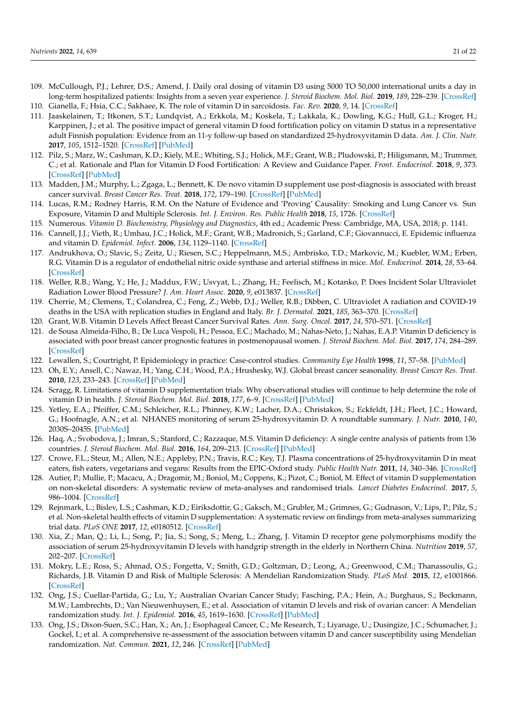- <span id="page-22-0"></span>109. McCullough, P.J.; Lehrer, D.S.; Amend, J. Daily oral dosing of vitamin D3 using 5000 TO 50,000 international units a day in long-term hospitalized patients: Insights from a seven year experience. *J. Steroid Biochem. Mol. Biol.* **2019**, *189*, 228–239. [\[CrossRef\]](http://doi.org/10.1016/j.jsbmb.2018.12.010)
- <span id="page-22-1"></span>110. Gianella, F.; Hsia, C.C.; Sakhaee, K. The role of vitamin D in sarcoidosis. *Fac. Rev.* **2020**, *9*, 14. [\[CrossRef\]](http://doi.org/10.12703/b/9-14)
- <span id="page-22-2"></span>111. Jaaskelainen, T.; Itkonen, S.T.; Lundqvist, A.; Erkkola, M.; Koskela, T.; Lakkala, K.; Dowling, K.G.; Hull, G.L.; Kroger, H.; Karppinen, J.; et al. The positive impact of general vitamin D food fortification policy on vitamin D status in a representative adult Finnish population: Evidence from an 11-y follow-up based on standardized 25-hydroxyvitamin D data. *Am. J. Clin. Nutr.* **2017**, *105*, 1512–1520. [\[CrossRef\]](http://doi.org/10.3945/ajcn.116.151415) [\[PubMed\]](http://www.ncbi.nlm.nih.gov/pubmed/28490516)
- <span id="page-22-3"></span>112. Pilz, S.; Marz, W.; Cashman, K.D.; Kiely, M.E.; Whiting, S.J.; Holick, M.F.; Grant, W.B.; Pludowski, P.; Hiligsmann, M.; Trummer, C.; et al. Rationale and Plan for Vitamin D Food Fortification: A Review and Guidance Paper. *Front. Endocrinol.* **2018**, *9*, 373. [\[CrossRef\]](http://doi.org/10.3389/fendo.2018.00373) [\[PubMed\]](http://www.ncbi.nlm.nih.gov/pubmed/30065699)
- <span id="page-22-4"></span>113. Madden, J.M.; Murphy, L.; Zgaga, L.; Bennett, K. De novo vitamin D supplement use post-diagnosis is associated with breast cancer survival. *Breast Cancer Res. Treat.* **2018**, *172*, 179–190. [\[CrossRef\]](http://doi.org/10.1007/s10549-018-4896-6) [\[PubMed\]](http://www.ncbi.nlm.nih.gov/pubmed/30039288)
- <span id="page-22-5"></span>114. Lucas, R.M.; Rodney Harris, R.M. On the Nature of Evidence and 'Proving' Causality: Smoking and Lung Cancer vs. Sun Exposure, Vitamin D and Multiple Sclerosis. *Int. J. Environ. Res. Public Health* **2018**, *15*, 1726. [\[CrossRef\]](http://doi.org/10.3390/ijerph15081726)
- <span id="page-22-6"></span>115. Numerous. *Vitamin D. Biochemistry, Physiology and Diagnostics*, 4th ed.; Academic Press: Cambridge, MA, USA, 2018; p. 1141.
- <span id="page-22-7"></span>116. Cannell, J.J.; Vieth, R.; Umhau, J.C.; Holick, M.F.; Grant, W.B.; Madronich, S.; Garland, C.F.; Giovannucci, E. Epidemic influenza and vitamin D. *Epidemiol. Infect.* **2006**, *134*, 1129–1140. [\[CrossRef\]](http://doi.org/10.1017/S0950268806007175)
- <span id="page-22-8"></span>117. Andrukhova, O.; Slavic, S.; Zeitz, U.; Riesen, S.C.; Heppelmann, M.S.; Ambrisko, T.D.; Markovic, M.; Kuebler, W.M.; Erben, R.G. Vitamin D is a regulator of endothelial nitric oxide synthase and arterial stiffness in mice. *Mol. Endocrinol.* **2014**, *28*, 53–64. [\[CrossRef\]](http://doi.org/10.1210/me.2013-1252)
- <span id="page-22-9"></span>118. Weller, R.B.; Wang, Y.; He, J.; Maddux, F.W.; Usvyat, L.; Zhang, H.; Feelisch, M.; Kotanko, P. Does Incident Solar Ultraviolet Radiation Lower Blood Pressure? *J. Am. Heart Assoc.* **2020**, *9*, e013837. [\[CrossRef\]](http://doi.org/10.1161/JAHA.119.013837)
- <span id="page-22-10"></span>119. Cherrie, M.; Clemens, T.; Colandrea, C.; Feng, Z.; Webb, D.J.; Weller, R.B.; Dibben, C. Ultraviolet A radiation and COVID-19 deaths in the USA with replication studies in England and Italy. *Br. J. Dermatol.* **2021**, *185*, 363–370. [\[CrossRef\]](http://doi.org/10.1111/bjd.20093)
- <span id="page-22-11"></span>120. Grant, W.B. Vitamin D Levels Affect Breast Cancer Survival Rates. *Ann. Surg. Oncol.* **2017**, *24*, 570–571. [\[CrossRef\]](http://doi.org/10.1245/s10434-017-6159-x)
- <span id="page-22-12"></span>121. de Sousa Almeida-Filho, B.; De Luca Vespoli, H.; Pessoa, E.C.; Machado, M.; Nahas-Neto, J.; Nahas, E.A.P. Vitamin D deficiency is associated with poor breast cancer prognostic features in postmenopausal women. *J. Steroid Biochem. Mol. Biol.* **2017**, *174*, 284–289. [\[CrossRef\]](http://doi.org/10.1016/j.jsbmb.2017.10.009)
- <span id="page-22-13"></span>122. Lewallen, S.; Courtright, P. Epidemiology in practice: Case-control studies. *Community Eye Health* **1998**, *11*, 57–58. [\[PubMed\]](http://www.ncbi.nlm.nih.gov/pubmed/17492047)
- <span id="page-22-14"></span>123. Oh, E.Y.; Ansell, C.; Nawaz, H.; Yang, C.H.; Wood, P.A.; Hrushesky, W.J. Global breast cancer seasonality. *Breast Cancer Res. Treat.* **2010**, *123*, 233–243. [\[CrossRef\]](http://doi.org/10.1007/s10549-009-0676-7) [\[PubMed\]](http://www.ncbi.nlm.nih.gov/pubmed/20130986)
- <span id="page-22-15"></span>124. Scragg, R. Limitations of vitamin D supplementation trials: Why observational studies will continue to help determine the role of vitamin D in health. *J. Steroid Biochem. Mol. Biol.* **2018**, *177*, 6–9. [\[CrossRef\]](http://doi.org/10.1016/j.jsbmb.2017.06.006) [\[PubMed\]](http://www.ncbi.nlm.nih.gov/pubmed/28627485)
- <span id="page-22-16"></span>125. Yetley, E.A.; Pfeiffer, C.M.; Schleicher, R.L.; Phinney, K.W.; Lacher, D.A.; Christakos, S.; Eckfeldt, J.H.; Fleet, J.C.; Howard, G.; Hoofnagle, A.N.; et al. NHANES monitoring of serum 25-hydroxyvitamin D: A roundtable summary. *J. Nutr.* **2010**, *140*, 2030S–2045S. [\[PubMed\]](http://www.ncbi.nlm.nih.gov/pubmed/20881084)
- <span id="page-22-17"></span>126. Haq, A.; Svobodova, J.; Imran, S.; Stanford, C.; Razzaque, M.S. Vitamin D deficiency: A single centre analysis of patients from 136 countries. *J. Steroid Biochem. Mol. Biol.* **2016**, *164*, 209–213. [\[CrossRef\]](http://doi.org/10.1016/j.jsbmb.2016.02.007) [\[PubMed\]](http://www.ncbi.nlm.nih.gov/pubmed/26877203)
- <span id="page-22-18"></span>127. Crowe, F.L.; Steur, M.; Allen, N.E.; Appleby, P.N.; Travis, R.C.; Key, T.J. Plasma concentrations of 25-hydroxyvitamin D in meat eaters, fish eaters, vegetarians and vegans: Results from the EPIC-Oxford study. *Public Health Nutr.* **2011**, *14*, 340–346. [\[CrossRef\]](http://doi.org/10.1017/S1368980010002454)
- <span id="page-22-19"></span>128. Autier, P.; Mullie, P.; Macacu, A.; Dragomir, M.; Boniol, M.; Coppens, K.; Pizot, C.; Boniol, M. Effect of vitamin D supplementation on non-skeletal disorders: A systematic review of meta-analyses and randomised trials. *Lancet Diabetes Endocrinol.* **2017**, *5*, 986–1004. [\[CrossRef\]](http://doi.org/10.1016/S2213-8587(17)30357-1)
- <span id="page-22-20"></span>129. Rejnmark, L.; Bislev, L.S.; Cashman, K.D.; Eiriksdottir, G.; Gaksch, M.; Grubler, M.; Grimnes, G.; Gudnason, V.; Lips, P.; Pilz, S.; et al. Non-skeletal health effects of vitamin D supplementation: A systematic review on findings from meta-analyses summarizing trial data. *PLoS ONE* **2017**, *12*, e0180512. [\[CrossRef\]](http://doi.org/10.1371/journal.pone.0180512)
- <span id="page-22-21"></span>130. Xia, Z.; Man, Q.; Li, L.; Song, P.; Jia, S.; Song, S.; Meng, L.; Zhang, J. Vitamin D receptor gene polymorphisms modify the association of serum 25-hydroxyvitamin D levels with handgrip strength in the elderly in Northern China. *Nutrition* **2019**, *57*, 202–207. [\[CrossRef\]](http://doi.org/10.1016/j.nut.2018.05.025)
- <span id="page-22-22"></span>131. Mokry, L.E.; Ross, S.; Ahmad, O.S.; Forgetta, V.; Smith, G.D.; Goltzman, D.; Leong, A.; Greenwood, C.M.; Thanassoulis, G.; Richards, J.B. Vitamin D and Risk of Multiple Sclerosis: A Mendelian Randomization Study. *PLoS Med.* **2015**, *12*, e1001866. [\[CrossRef\]](http://doi.org/10.1371/journal.pmed.1001866)
- <span id="page-22-23"></span>132. Ong, J.S.; Cuellar-Partida, G.; Lu, Y.; Australian Ovarian Cancer Study; Fasching, P.A.; Hein, A.; Burghaus, S.; Beckmann, M.W.; Lambrechts, D.; Van Nieuwenhuysen, E.; et al. Association of vitamin D levels and risk of ovarian cancer: A Mendelian randomization study. *Int. J. Epidemiol.* **2016**, *45*, 1619–1630. [\[CrossRef\]](http://doi.org/10.1093/ije/dyw207) [\[PubMed\]](http://www.ncbi.nlm.nih.gov/pubmed/27594614)
- <span id="page-22-24"></span>133. Ong, J.S.; Dixon-Suen, S.C.; Han, X.; An, J.; Esophageal Cancer, C.; Me Research, T.; Liyanage, U.; Dusingize, J.C.; Schumacher, J.; Gockel, I.; et al. A comprehensive re-assessment of the association between vitamin D and cancer susceptibility using Mendelian randomization. *Nat. Commun.* **2021**, *12*, 246. [\[CrossRef\]](http://doi.org/10.1038/s41467-020-20368-w) [\[PubMed\]](http://www.ncbi.nlm.nih.gov/pubmed/33431812)